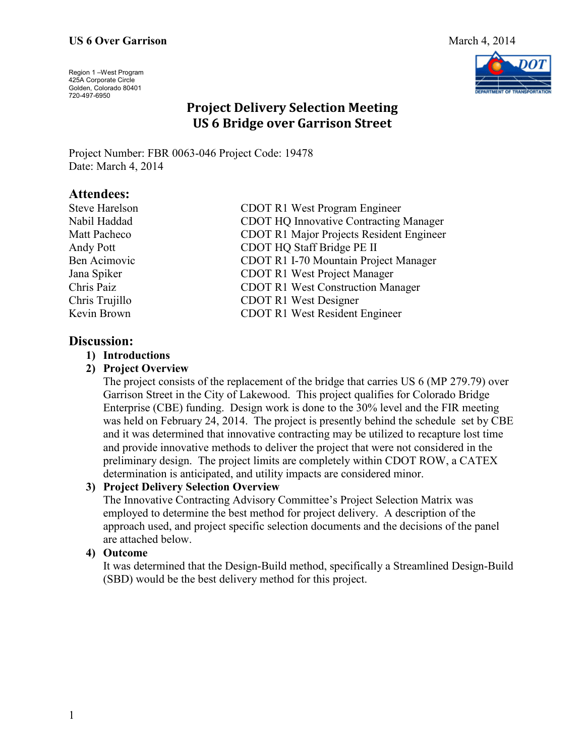# **US 6 Over Garrison** March 4, 2014

Region 1 –West Program 425A Corporate Circle Golden, Colorado 80401 720-497-6950



# **Project Delivery Selection Meeting US 6 Bridge over Garrison Street**

Project Number: FBR 0063-046 Project Code: 19478 Date: March 4, 2014

# **Attendees:**

| <b>Steve Harelson</b> | CDOT R1 West Program Engineer                   |
|-----------------------|-------------------------------------------------|
| Nabil Haddad          | <b>CDOT HQ Innovative Contracting Manager</b>   |
| Matt Pacheco          | <b>CDOT R1 Major Projects Resident Engineer</b> |
| Andy Pott             | CDOT HQ Staff Bridge PE II                      |
| Ben Acimovic          | CDOT R1 I-70 Mountain Project Manager           |
| Jana Spiker           | <b>CDOT R1 West Project Manager</b>             |
| Chris Paiz            | <b>CDOT R1 West Construction Manager</b>        |
| Chris Trujillo        | <b>CDOT R1 West Designer</b>                    |
| Kevin Brown           | <b>CDOT R1 West Resident Engineer</b>           |
|                       |                                                 |

# **Discussion:**

## **1) Introductions**

#### **2) Project Overview**

The project consists of the replacement of the bridge that carries US 6 (MP 279.79) over Garrison Street in the City of Lakewood. This project qualifies for Colorado Bridge Enterprise (CBE) funding. Design work is done to the 30% level and the FIR meeting was held on February 24, 2014. The project is presently behind the schedule set by CBE and it was determined that innovative contracting may be utilized to recapture lost time and provide innovative methods to deliver the project that were not considered in the preliminary design. The project limits are completely within CDOT ROW, a CATEX determination is anticipated, and utility impacts are considered minor.

## **3) Project Delivery Selection Overview**

The Innovative Contracting Advisory Committee's Project Selection Matrix was employed to determine the best method for project delivery. A description of the approach used, and project specific selection documents and the decisions of the panel are attached below.

## **4) Outcome**

It was determined that the Design-Build method, specifically a Streamlined Design-Build (SBD) would be the best delivery method for this project.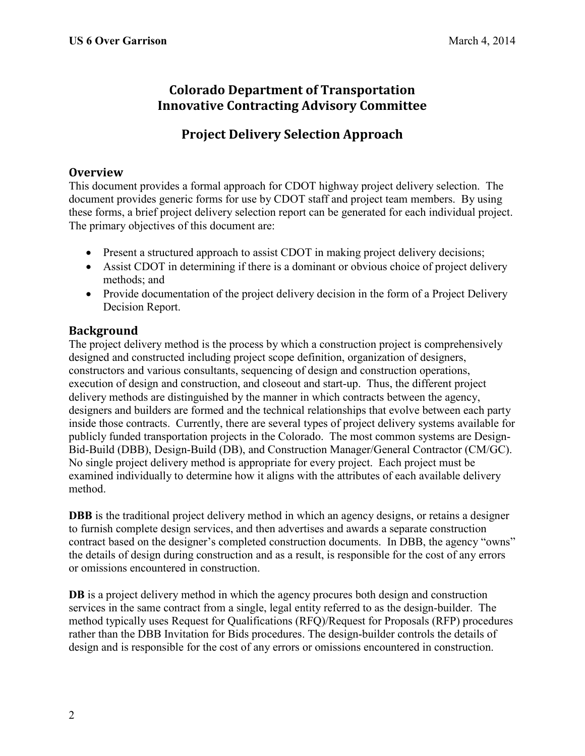# **Colorado Department of Transportation Innovative Contracting Advisory Committee**

# **Project Delivery Selection Approach**

# **Overview**

This document provides a formal approach for CDOT highway project delivery selection. The document provides generic forms for use by CDOT staff and project team members. By using these forms, a brief project delivery selection report can be generated for each individual project. The primary objectives of this document are:

- Present a structured approach to assist CDOT in making project delivery decisions;
- Assist CDOT in determining if there is a dominant or obvious choice of project delivery methods; and
- Provide documentation of the project delivery decision in the form of a Project Delivery Decision Report.

# **Background**

The project delivery method is the process by which a construction project is comprehensively designed and constructed including project scope definition, organization of designers, constructors and various consultants, sequencing of design and construction operations, execution of design and construction, and closeout and start-up. Thus, the different project delivery methods are distinguished by the manner in which contracts between the agency, designers and builders are formed and the technical relationships that evolve between each party inside those contracts. Currently, there are several types of project delivery systems available for publicly funded transportation projects in the Colorado. The most common systems are Design-Bid-Build (DBB), Design-Build (DB), and Construction Manager/General Contractor (CM/GC). No single project delivery method is appropriate for every project. Each project must be examined individually to determine how it aligns with the attributes of each available delivery method.

**DBB** is the traditional project delivery method in which an agency designs, or retains a designer to furnish complete design services, and then advertises and awards a separate construction contract based on the designer's completed construction documents. In DBB, the agency "owns" the details of design during construction and as a result, is responsible for the cost of any errors or omissions encountered in construction.

**DB** is a project delivery method in which the agency procures both design and construction services in the same contract from a single, legal entity referred to as the design-builder. The method typically uses Request for Qualifications (RFQ)/Request for Proposals (RFP) procedures rather than the DBB Invitation for Bids procedures. The design-builder controls the details of design and is responsible for the cost of any errors or omissions encountered in construction.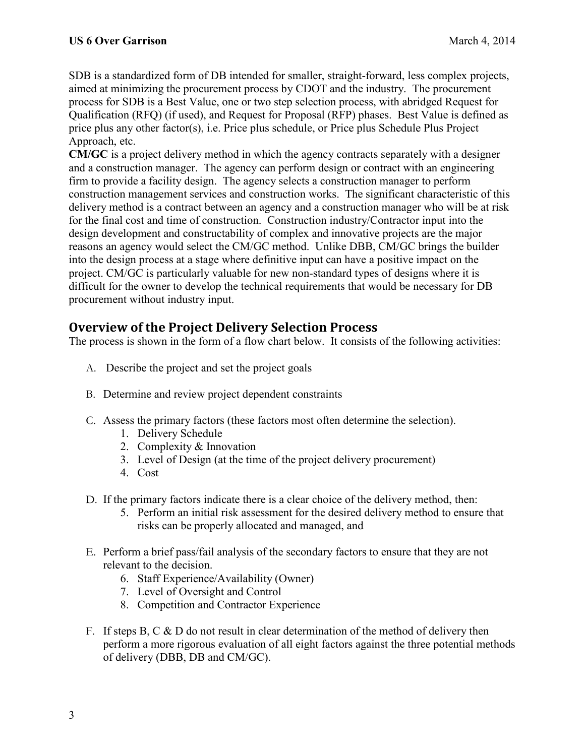SDB is a standardized form of DB intended for smaller, straight-forward, less complex projects, aimed at minimizing the procurement process by CDOT and the industry. The procurement process for SDB is a Best Value, one or two step selection process, with abridged Request for Qualification (RFQ) (if used), and Request for Proposal (RFP) phases. Best Value is defined as price plus any other factor(s), i.e. Price plus schedule, or Price plus Schedule Plus Project Approach, etc.

**CM/GC** is a project delivery method in which the agency contracts separately with a designer and a construction manager. The agency can perform design or contract with an engineering firm to provide a facility design. The agency selects a construction manager to perform construction management services and construction works. The significant characteristic of this delivery method is a contract between an agency and a construction manager who will be at risk for the final cost and time of construction. Construction industry/Contractor input into the design development and constructability of complex and innovative projects are the major reasons an agency would select the CM/GC method. Unlike DBB, CM/GC brings the builder into the design process at a stage where definitive input can have a positive impact on the project. CM/GC is particularly valuable for new non-standard types of designs where it is difficult for the owner to develop the technical requirements that would be necessary for DB procurement without industry input.

# **Overview of the Project Delivery Selection Process**

The process is shown in the form of a flow chart below. It consists of the following activities:

- A. Describe the project and set the project goals
- B. Determine and review project dependent constraints
- C. Assess the primary factors (these factors most often determine the selection).
	- 1. Delivery Schedule
	- 2. Complexity & Innovation
	- 3. Level of Design (at the time of the project delivery procurement)
	- 4. Cost
- D. If the primary factors indicate there is a clear choice of the delivery method, then:
	- 5. Perform an initial risk assessment for the desired delivery method to ensure that risks can be properly allocated and managed, and
- E. Perform a brief pass/fail analysis of the secondary factors to ensure that they are not relevant to the decision.
	- 6. Staff Experience/Availability (Owner)
	- 7. Level of Oversight and Control
	- 8. Competition and Contractor Experience
- F. If steps B, C  $\&$  D do not result in clear determination of the method of delivery then perform a more rigorous evaluation of all eight factors against the three potential methods of delivery (DBB, DB and CM/GC).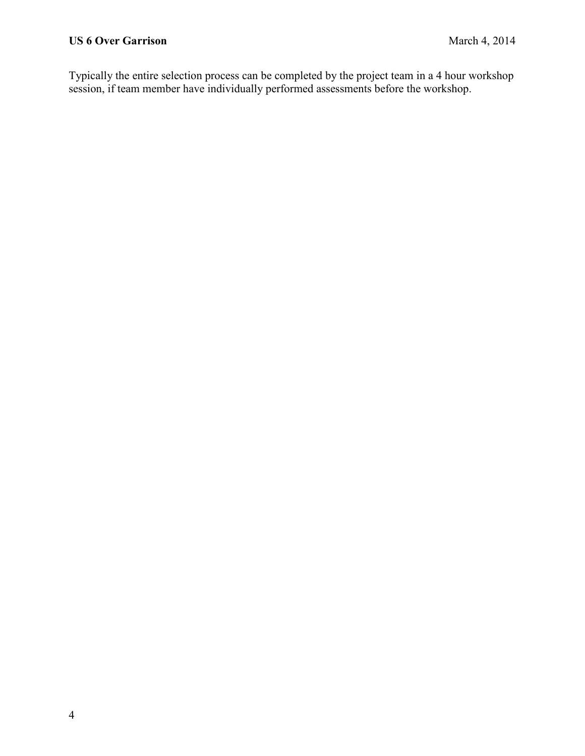Typically the entire selection process can be completed by the project team in a 4 hour workshop session, if team member have individually performed assessments before the workshop.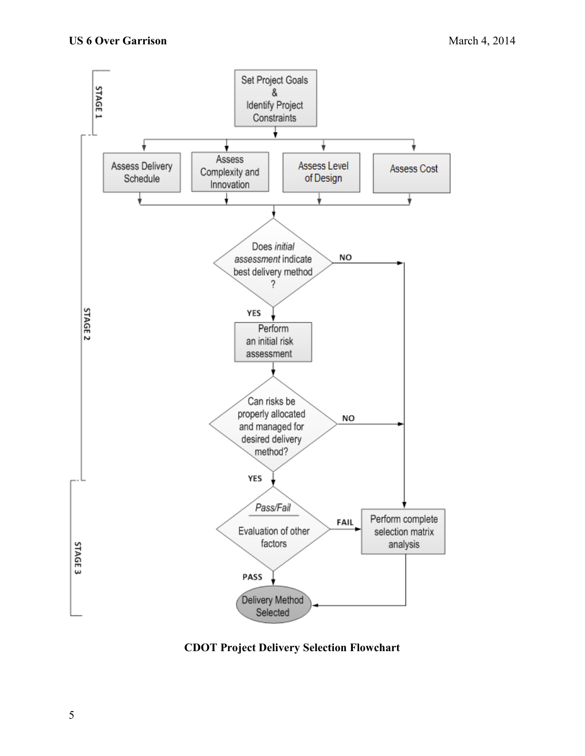

**CDOT Project Delivery Selection Flowchart**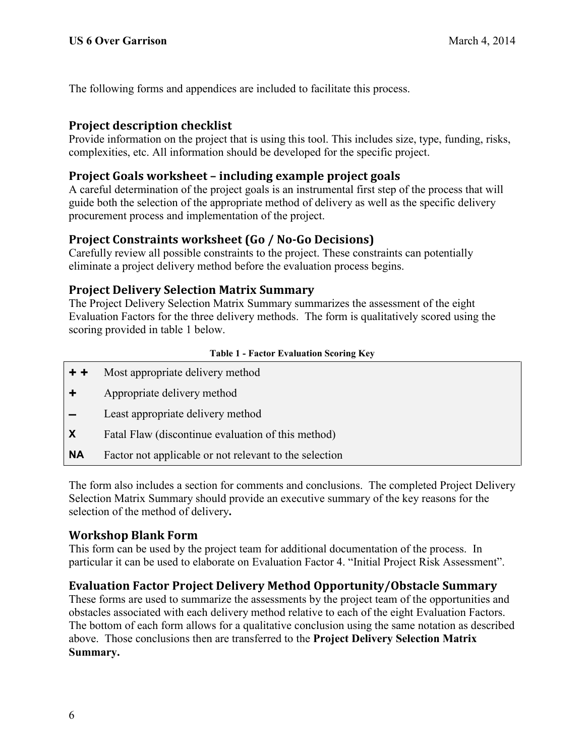The following forms and appendices are included to facilitate this process.

# **Project description checklist**

Provide information on the project that is using this tool. This includes size, type, funding, risks, complexities, etc. All information should be developed for the specific project.

# **Project Goals worksheet – including example project goals**

A careful determination of the project goals is an instrumental first step of the process that will guide both the selection of the appropriate method of delivery as well as the specific delivery procurement process and implementation of the project.

# **Project Constraints worksheet (Go / No-Go Decisions)**

Carefully review all possible constraints to the project. These constraints can potentially eliminate a project delivery method before the evaluation process begins.

# **Project Delivery Selection Matrix Summary**

The Project Delivery Selection Matrix Summary summarizes the assessment of the eight Evaluation Factors for the three delivery methods. The form is qualitatively scored using the scoring provided in table 1 below.

## **Table 1 - Factor Evaluation Scoring Key**

- **+ +** Most appropriate delivery method
- **+** Appropriate delivery method
- **–** Least appropriate delivery method
- **X** Fatal Flaw (discontinue evaluation of this method)
- **NA** Factor not applicable or not relevant to the selection

The form also includes a section for comments and conclusions.The completed Project Delivery Selection Matrix Summary should provide an executive summary of the key reasons for the selection of the method of delivery**.**

# **Workshop Blank Form**

This form can be used by the project team for additional documentation of the process. In particular it can be used to elaborate on Evaluation Factor 4. "Initial Project Risk Assessment".

# **Evaluation Factor Project Delivery Method Opportunity/Obstacle Summary**

These forms are used to summarize the assessments by the project team of the opportunities and obstacles associated with each delivery method relative to each of the eight Evaluation Factors. The bottom of each form allows for a qualitative conclusion using the same notation as described above. Those conclusions then are transferred to the **Project Delivery Selection Matrix Summary.**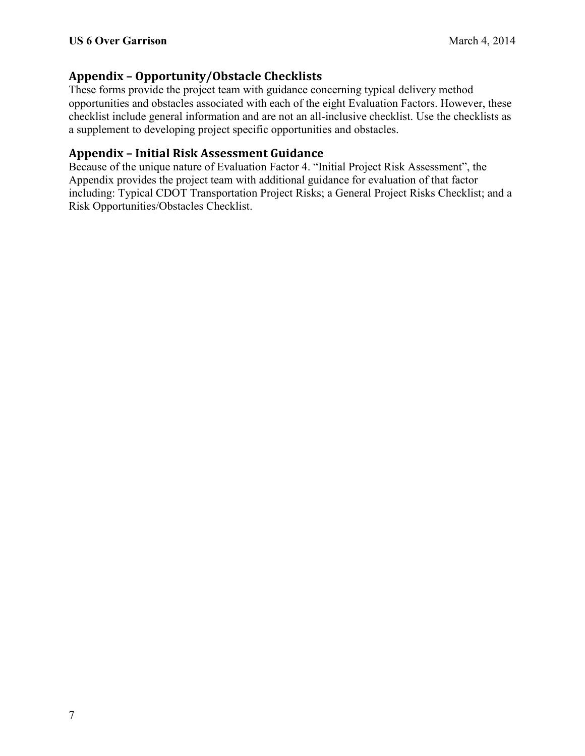# **Appendix – Opportunity/Obstacle Checklists**

These forms provide the project team with guidance concerning typical delivery method opportunities and obstacles associated with each of the eight Evaluation Factors. However, these checklist include general information and are not an all-inclusive checklist. Use the checklists as a supplement to developing project specific opportunities and obstacles.

# **Appendix – Initial Risk Assessment Guidance**

Because of the unique nature of Evaluation Factor 4. "Initial Project Risk Assessment", the Appendix provides the project team with additional guidance for evaluation of that factor including: Typical CDOT Transportation Project Risks; a General Project Risks Checklist; and a Risk Opportunities/Obstacles Checklist.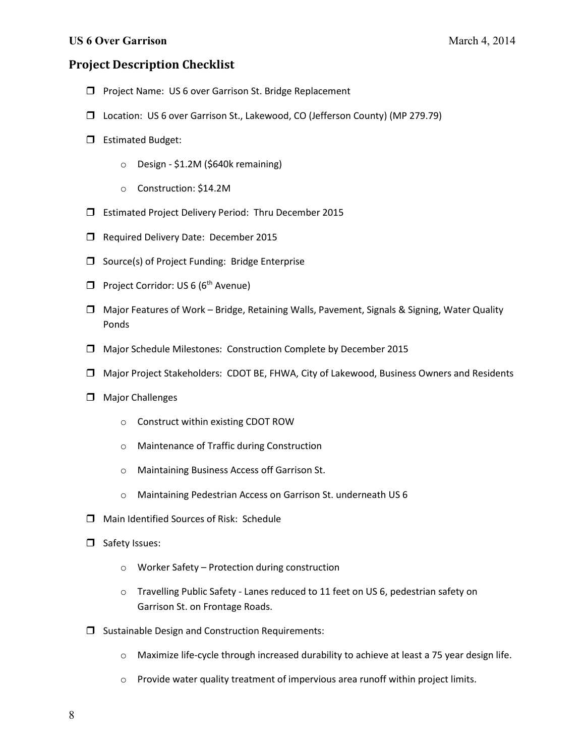# **Project Description Checklist**

- **D** Project Name: US 6 over Garrison St. Bridge Replacement
- Location: US 6 over Garrison St., Lakewood, CO (Jefferson County) (MP 279.79)
- **E**stimated Budget:
	- o Design \$1.2M (\$640k remaining)
	- o Construction: \$14.2M
- Estimated Project Delivery Period: Thru December 2015
- Required Delivery Date: December 2015
- $\Box$  Source(s) of Project Funding: Bridge Enterprise
- **Project Corridor: US 6 (6th Avenue)**
- Major Features of Work Bridge, Retaining Walls, Pavement, Signals & Signing, Water Quality Ponds
- Major Schedule Milestones: Construction Complete by December 2015
- Major Project Stakeholders: CDOT BE, FHWA, City of Lakewood, Business Owners and Residents
- $\Box$  Major Challenges
	- o Construct within existing CDOT ROW
	- o Maintenance of Traffic during Construction
	- o Maintaining Business Access off Garrison St.
	- o Maintaining Pedestrian Access on Garrison St. underneath US 6
- Main Identified Sources of Risk: Schedule
- Safety Issues:
	- o Worker Safety Protection during construction
	- o Travelling Public Safety Lanes reduced to 11 feet on US 6, pedestrian safety on Garrison St. on Frontage Roads.
- $\square$  Sustainable Design and Construction Requirements:
	- o Maximize life-cycle through increased durability to achieve at least a 75 year design life.
	- o Provide water quality treatment of impervious area runoff within project limits.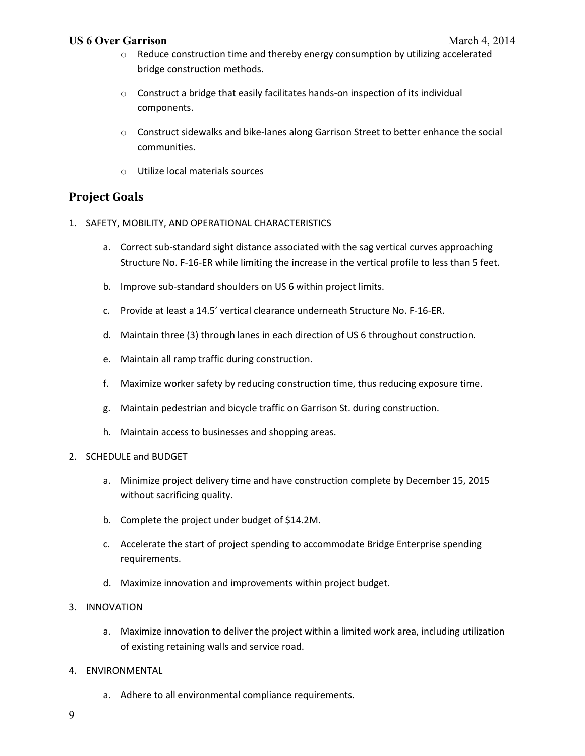## **US 6 Over Garrison** March 4, 2014

- $\circ$  Reduce construction time and thereby energy consumption by utilizing accelerated bridge construction methods.
- o Construct a bridge that easily facilitates hands-on inspection of its individual components.
- $\circ$  Construct sidewalks and bike-lanes along Garrison Street to better enhance the social communities.
- o Utilize local materials sources

# **Project Goals**

- 1. SAFETY, MOBILITY, AND OPERATIONAL CHARACTERISTICS
	- a. Correct sub-standard sight distance associated with the sag vertical curves approaching Structure No. F-16-ER while limiting the increase in the vertical profile to less than 5 feet.
	- b. Improve sub-standard shoulders on US 6 within project limits.
	- c. Provide at least a 14.5' vertical clearance underneath Structure No. F-16-ER.
	- d. Maintain three (3) through lanes in each direction of US 6 throughout construction.
	- e. Maintain all ramp traffic during construction.
	- f. Maximize worker safety by reducing construction time, thus reducing exposure time.
	- g. Maintain pedestrian and bicycle traffic on Garrison St. during construction.
	- h. Maintain access to businesses and shopping areas.
- 2. SCHEDULE and BUDGET
	- a. Minimize project delivery time and have construction complete by December 15, 2015 without sacrificing quality.
	- b. Complete the project under budget of \$14.2M.
	- c. Accelerate the start of project spending to accommodate Bridge Enterprise spending requirements.
	- d. Maximize innovation and improvements within project budget.
- 3. INNOVATION
	- a. Maximize innovation to deliver the project within a limited work area, including utilization of existing retaining walls and service road.
- 4. ENVIRONMENTAL
	- a. Adhere to all environmental compliance requirements.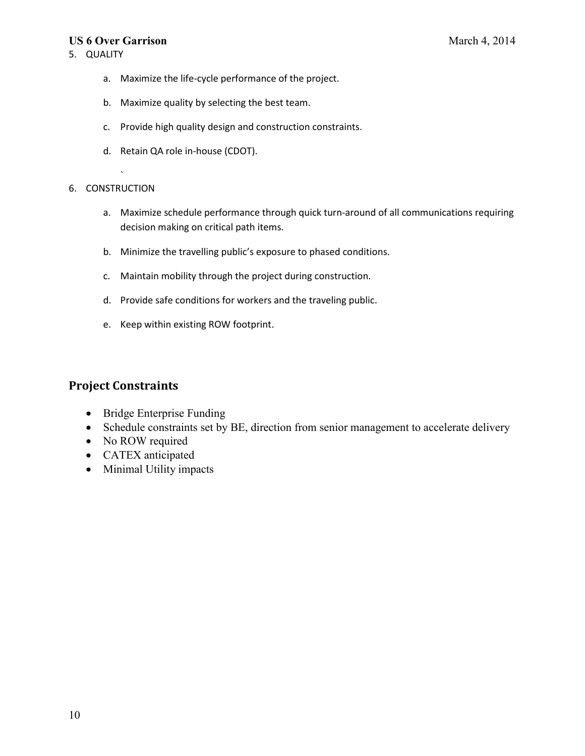#### **US 6 Over Garrison** March 4, 2014

- a. Maximize the life-cycle performance of the project.
- b. Maximize quality by selecting the best team.
- c. Provide high quality design and construction constraints.
- d. Retain QA role in-house (CDOT).

#### 6. CONSTRUCTION

`

- a. Maximize schedule performance through quick turn-around of all communications requiring decision making on critical path items.
- b. Minimize the travelling public's exposure to phased conditions.
- c. Maintain mobility through the project during construction.
- d. Provide safe conditions for workers and the traveling public.
- e. Keep within existing ROW footprint.

# **Project Constraints**

- Bridge Enterprise Funding
- Schedule constraints set by BE, direction from senior management to accelerate delivery
- No ROW required
- CATEX anticipated
- Minimal Utility impacts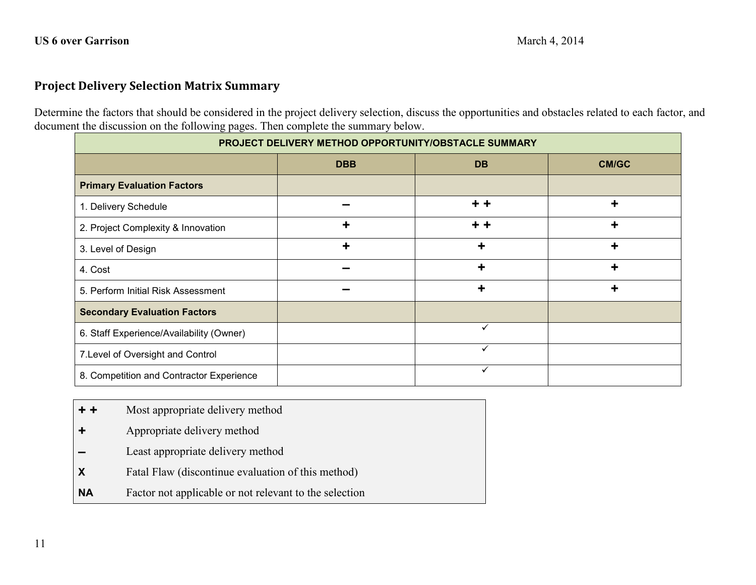# **Project Delivery Selection Matrix Summary**

Determine the factors that should be considered in the project delivery selection, discuss the opportunities and obstacles related to each factor, and document the discussion on the following pages. Then complete the summary below.

| PROJECT DELIVERY METHOD OPPORTUNITY/OBSTACLE SUMMARY |            |              |              |
|------------------------------------------------------|------------|--------------|--------------|
|                                                      | <b>DBB</b> | <b>DB</b>    | <b>CM/GC</b> |
| <b>Primary Evaluation Factors</b>                    |            |              |              |
| 1. Delivery Schedule                                 |            | $+ +$        | ٠            |
| 2. Project Complexity & Innovation                   | ÷          | + +          | ÷            |
| 3. Level of Design                                   | ÷          | ╈            | ÷            |
| 4. Cost                                              |            | ┿            | ٠            |
| 5. Perform Initial Risk Assessment                   |            | ٠            | ٠            |
| <b>Secondary Evaluation Factors</b>                  |            |              |              |
| 6. Staff Experience/Availability (Owner)             |            | $\checkmark$ |              |
| 7. Level of Oversight and Control                    |            | $\checkmark$ |              |
| 8. Competition and Contractor Experience             |            | $\checkmark$ |              |

- **+ +** Most appropriate delivery method
- **+** Appropriate delivery method
- **–** Least appropriate delivery method
- **X** Fatal Flaw (discontinue evaluation of this method)
- **NA** Factor not applicable or not relevant to the selection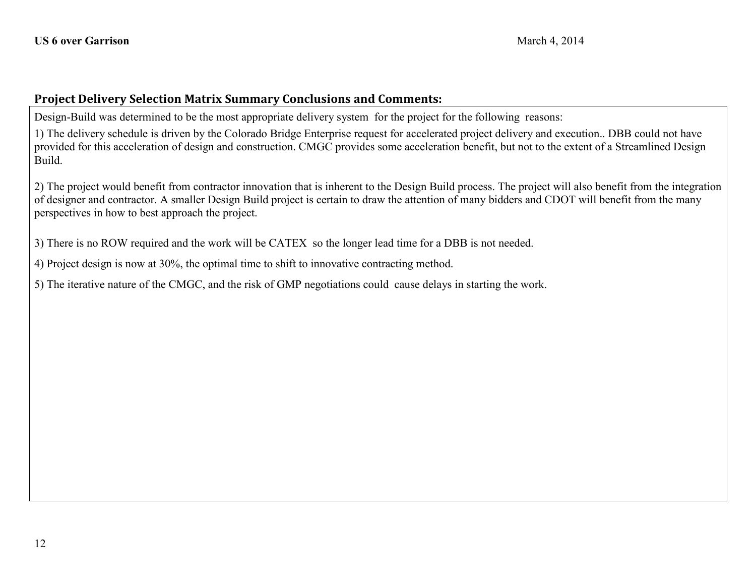# **Project Delivery Selection Matrix Summary Conclusions and Comments:**

Design-Build was determined to be the most appropriate delivery system for the project for the following reasons:

1) The delivery schedule is driven by the Colorado Bridge Enterprise request for accelerated project delivery and execution.. DBB could not have provided for this acceleration of design and construction. CMGC provides some acceleration benefit, but not to the extent of a Streamlined Design Build.

2) The project would benefit from contractor innovation that is inherent to the Design Build process. The project will also benefit from the integration of designer and contractor. A smaller Design Build project is certain to draw the attention of many bidders and CDOT will benefit from the many perspectives in how to best approach the project.

3) There is no ROW required and the work will be CATEX so the longer lead time for a DBB is not needed.

4) Project design is now at 30%, the optimal time to shift to innovative contracting method.

5) The iterative nature of the CMGC, and the risk of GMP negotiations could cause delays in starting the work.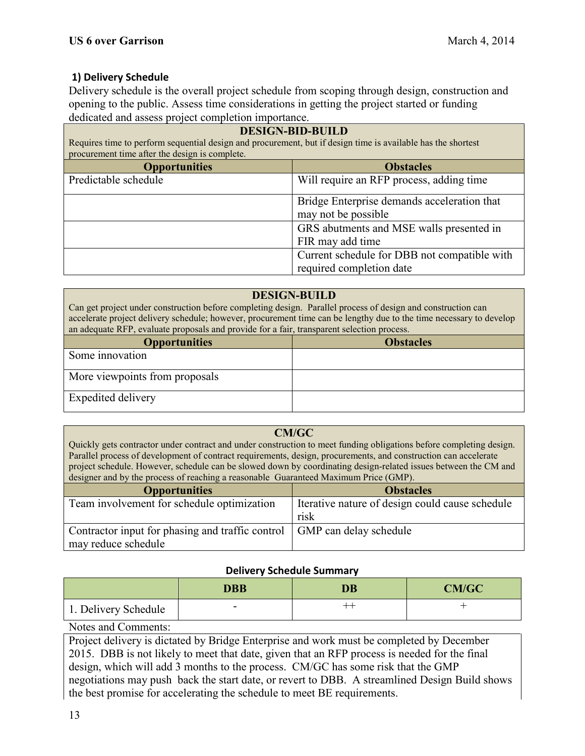# **1) Delivery Schedule**

Delivery schedule is the overall project schedule from scoping through design, construction and opening to the public. Assess time considerations in getting the project started or funding dedicated and assess project completion importance.

| <b>DESIGN-BID-BUILD</b><br>Requires time to perform sequential design and procurement, but if design time is available has the shortest<br>procurement time after the design is complete. |                                                                          |
|-------------------------------------------------------------------------------------------------------------------------------------------------------------------------------------------|--------------------------------------------------------------------------|
| <b>Opportunities</b><br><b>Obstacles</b>                                                                                                                                                  |                                                                          |
| Predictable schedule                                                                                                                                                                      | Will require an RFP process, adding time                                 |
|                                                                                                                                                                                           | Bridge Enterprise demands acceleration that<br>may not be possible       |
|                                                                                                                                                                                           | GRS abutments and MSE walls presented in<br>FIR may add time             |
|                                                                                                                                                                                           | Current schedule for DBB not compatible with<br>required completion date |

## **DESIGN-BUILD**

| Can get project under construction before completing design. Parallel process of design and construction can        |  |  |
|---------------------------------------------------------------------------------------------------------------------|--|--|
| accelerate project delivery schedule; however, procurement time can be lengthy due to the time necessary to develop |  |  |
| an adequate RFP, evaluate proposals and provide for a fair, transparent selection process.                          |  |  |
| <b>Obstacles</b><br><b>Opportunities</b>                                                                            |  |  |
| Some innovation                                                                                                     |  |  |
|                                                                                                                     |  |  |

More viewpoints from proposals

Expedited delivery

## **CM/GC**

Quickly gets contractor under contract and under construction to meet funding obligations before completing design. Parallel process of development of contract requirements, design, procurements, and construction can accelerate project schedule. However, schedule can be slowed down by coordinating design-related issues between the CM and designer and by the process of reaching a reasonable Guaranteed Maximum Price (GMP).

| <b>Opportunities</b>                                                      | <b>Obstacles</b>                                |
|---------------------------------------------------------------------------|-------------------------------------------------|
| Team involvement for schedule optimization                                | Iterative nature of design could cause schedule |
|                                                                           | risk                                            |
| Contractor input for phasing and traffic control   GMP can delay schedule |                                                 |
| may reduce schedule                                                       |                                                 |

## **Delivery Schedule Summary**

|                        | <b>DBB</b>               | DB  | <b>CM/GC</b> |
|------------------------|--------------------------|-----|--------------|
| 1. Delivery Schedule   | $\overline{\phantom{a}}$ | -⊢- |              |
| $\mathbf{X}$<br>$\sim$ |                          |     |              |

Notes and Comments:

Project delivery is dictated by Bridge Enterprise and work must be completed by December 2015. DBB is not likely to meet that date, given that an RFP process is needed for the final design, which will add 3 months to the process. CM/GC has some risk that the GMP negotiations may push back the start date, or revert to DBB. A streamlined Design Build shows the best promise for accelerating the schedule to meet BE requirements.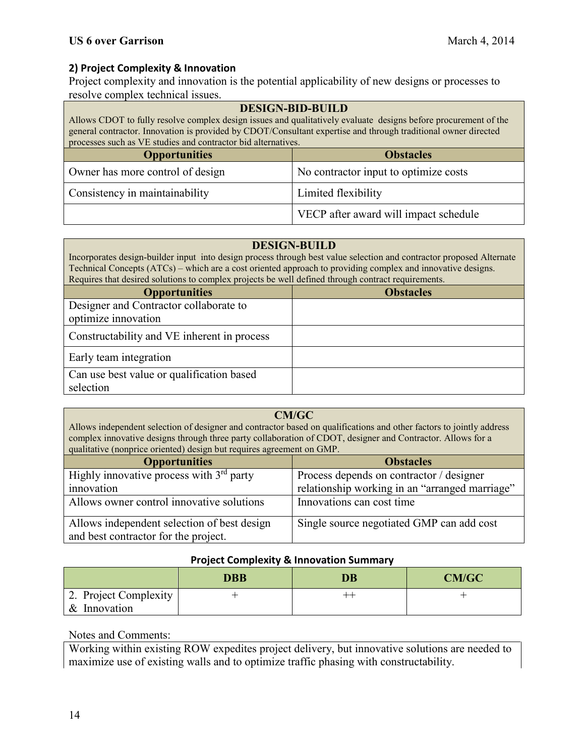# **2) Project Complexity & Innovation**

Project complexity and innovation is the potential applicability of new designs or processes to resolve complex technical issues.

| <b>DESIGN-BID-BUILD</b><br>Allows CDOT to fully resolve complex design issues and qualitatively evaluate designs before procurement of the<br>general contractor. Innovation is provided by CDOT/Consultant expertise and through traditional owner directed<br>processes such as VE studies and contractor bid alternatives. |                                       |  |
|-------------------------------------------------------------------------------------------------------------------------------------------------------------------------------------------------------------------------------------------------------------------------------------------------------------------------------|---------------------------------------|--|
| <b>Obstacles</b><br><b>Opportunities</b>                                                                                                                                                                                                                                                                                      |                                       |  |
| Owner has more control of design                                                                                                                                                                                                                                                                                              | No contractor input to optimize costs |  |
| Consistency in maintainability                                                                                                                                                                                                                                                                                                | Limited flexibility                   |  |
|                                                                                                                                                                                                                                                                                                                               | VECP after award will impact schedule |  |

#### **DESIGN-BUILD**

Incorporates design-builder input into design process through best value selection and contractor proposed Alternate Technical Concepts (ATCs) – which are a cost oriented approach to providing complex and innovative designs. Requires that desired solutions to complex projects be well defined through contract requirements.

| <b>Opportunities</b>                                          | <b>Obstacles</b> |
|---------------------------------------------------------------|------------------|
| Designer and Contractor collaborate to<br>optimize innovation |                  |
|                                                               |                  |
| Constructability and VE inherent in process                   |                  |
| Early team integration                                        |                  |
| Can use best value or qualification based                     |                  |
| selection                                                     |                  |

#### **CM/GC**

Allows independent selection of designer and contractor based on qualifications and other factors to jointly address complex innovative designs through three party collaboration of CDOT, designer and Contractor. Allows for a qualitative (nonprice oriented) design but requires agreement on GMP.

| <b>Opportunities</b>                        | <b>Obstacles</b>                               |
|---------------------------------------------|------------------------------------------------|
| Highly innovative process with $3rd$ party  | Process depends on contractor / designer       |
| innovation                                  | relationship working in an "arranged marriage" |
| Allows owner control innovative solutions   | Innovations can cost time                      |
| Allows independent selection of best design | Single source negotiated GMP can add cost      |
| and best contractor for the project.        |                                                |

#### **Project Complexity & Innovation Summary**

|                       | <b>DBB</b> | DB | <b>CM/GC</b> |
|-----------------------|------------|----|--------------|
| 2. Project Complexity |            | -- |              |
| & Innovation          |            |    |              |

## Notes and Comments:

Working within existing ROW expedites project delivery, but innovative solutions are needed to maximize use of existing walls and to optimize traffic phasing with constructability.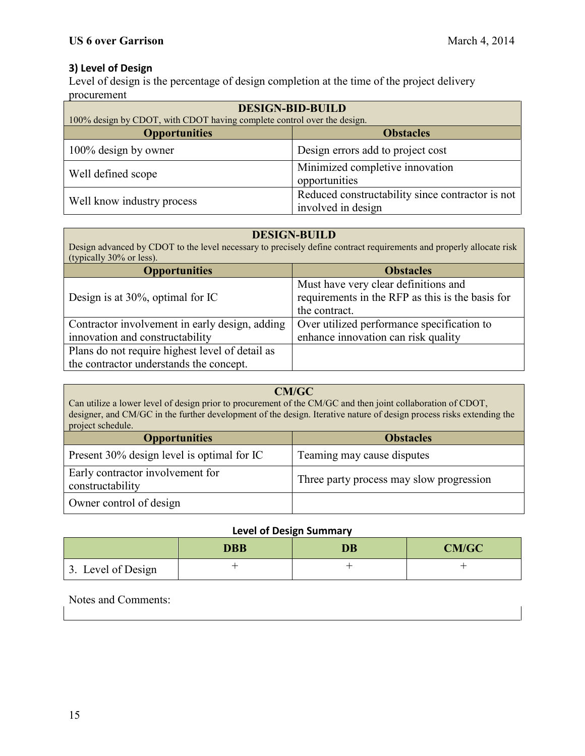# **3) Level of Design**

Level of design is the percentage of design completion at the time of the project delivery procurement

| <b>DESIGN-BID-BUILD</b>                                                 |                                                                        |  |
|-------------------------------------------------------------------------|------------------------------------------------------------------------|--|
| 100% design by CDOT, with CDOT having complete control over the design. |                                                                        |  |
| <b>Opportunities</b>                                                    | <b>Obstacles</b>                                                       |  |
| 100% design by owner                                                    | Design errors add to project cost                                      |  |
| Well defined scope                                                      | Minimized completive innovation<br>opportunities                       |  |
| Well know industry process                                              | Reduced constructability since contractor is not<br>involved in design |  |

#### **DESIGN-BUILD**

Design advanced by CDOT to the level necessary to precisely define contract requirements and properly allocate risk (typically 30% or less).

| <b>Opportunities</b>                            | <b>Obstacles</b>                                 |
|-------------------------------------------------|--------------------------------------------------|
|                                                 | Must have very clear definitions and             |
| Design is at 30%, optimal for IC                | requirements in the RFP as this is the basis for |
|                                                 | the contract.                                    |
| Contractor involvement in early design, adding  | Over utilized performance specification to       |
| innovation and constructability                 | enhance innovation can risk quality              |
| Plans do not require highest level of detail as |                                                  |
| the contractor understands the concept.         |                                                  |

#### **CM/GC**

Can utilize a lower level of design prior to procurement of the CM/GC and then joint collaboration of CDOT, designer, and CM/GC in the further development of the design. Iterative nature of design process risks extending the project schedule.

| <b>Opportunities</b>                                 | <b>Obstacles</b>                         |
|------------------------------------------------------|------------------------------------------|
| Present 30% design level is optimal for IC           | Teaming may cause disputes               |
| Early contractor involvement for<br>constructability | Three party process may slow progression |
| Owner control of design                              |                                          |

# **Level of Design Summary**

|                    | DBB | DB | <b>CM/GC</b> |
|--------------------|-----|----|--------------|
| 3. Level of Design |     |    |              |

Notes and Comments: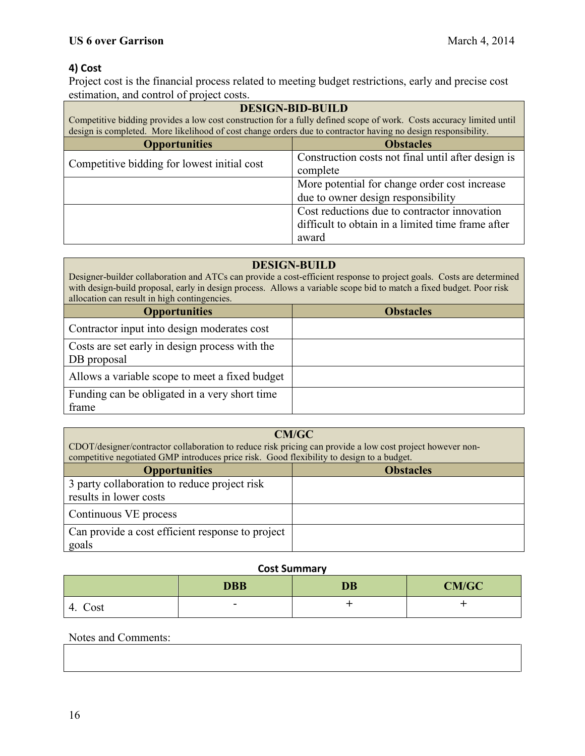# **4) Cost**

Project cost is the financial process related to meeting budget restrictions, early and precise cost estimation, and control of project costs.

| <b>DESIGN-BID-BUILD</b>                                                                                                                                                                                                               |                                                    |
|---------------------------------------------------------------------------------------------------------------------------------------------------------------------------------------------------------------------------------------|----------------------------------------------------|
| Competitive bidding provides a low cost construction for a fully defined scope of work. Costs accuracy limited until<br>design is completed. More likelihood of cost change orders due to contractor having no design responsibility. |                                                    |
| <b>Obstacles</b><br><b>Opportunities</b>                                                                                                                                                                                              |                                                    |
| Competitive bidding for lowest initial cost                                                                                                                                                                                           | Construction costs not final until after design is |
|                                                                                                                                                                                                                                       | complete                                           |
| More potential for change order cost increase                                                                                                                                                                                         |                                                    |
|                                                                                                                                                                                                                                       | due to owner design responsibility                 |
|                                                                                                                                                                                                                                       | Cost reductions due to contractor innovation       |
|                                                                                                                                                                                                                                       | difficult to obtain in a limited time frame after  |
|                                                                                                                                                                                                                                       | award                                              |

#### **DESIGN-BUILD**

Designer-builder collaboration and ATCs can provide a cost-efficient response to project goals. Costs are determined with design-build proposal, early in design process. Allows a variable scope bid to match a fixed budget. Poor risk allocation can result in high contingencies.

| <b>Opportunities</b>                                          | <b>Obstacles</b> |
|---------------------------------------------------------------|------------------|
| Contractor input into design moderates cost                   |                  |
| Costs are set early in design process with the<br>DB proposal |                  |
| Allows a variable scope to meet a fixed budget                |                  |
| Funding can be obligated in a very short time<br>frame        |                  |

| CM/GC<br>CDOT/designer/contractor collaboration to reduce risk pricing can provide a low cost project however non-<br>competitive negotiated GMP introduces price risk. Good flexibility to design to a budget. |  |
|-----------------------------------------------------------------------------------------------------------------------------------------------------------------------------------------------------------------|--|
| <b>Opportunities</b><br><b>Obstacles</b>                                                                                                                                                                        |  |
| 3 party collaboration to reduce project risk<br>results in lower costs                                                                                                                                          |  |
| Continuous VE process                                                                                                                                                                                           |  |
| Can provide a cost efficient response to project<br>goals                                                                                                                                                       |  |

#### **Cost Summary**

|            | <b>DBB</b>               | <b>DB</b> | <b>CM/GC</b> |
|------------|--------------------------|-----------|--------------|
| Cost<br>4. | $\overline{\phantom{0}}$ |           |              |

# Notes and Comments: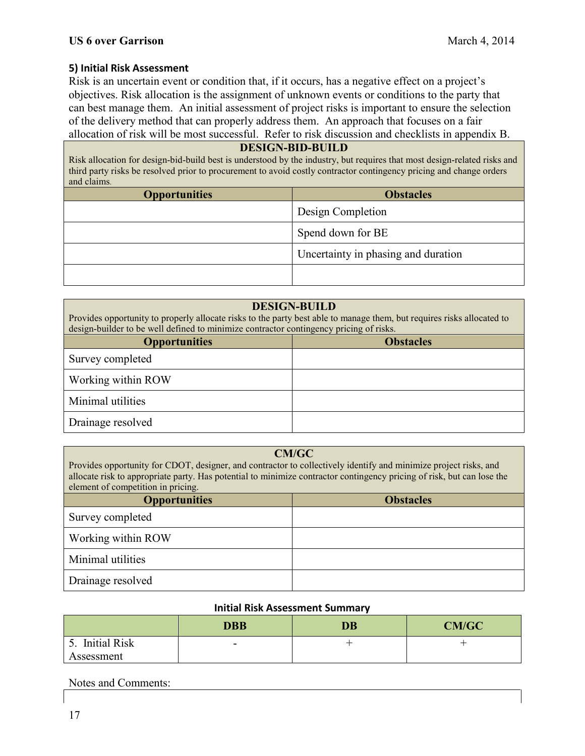## **5) Initial Risk Assessment**

Risk is an uncertain event or condition that, if it occurs, has a negative effect on a project's objectives. Risk allocation is the assignment of unknown events or conditions to the party that can best manage them. An initial assessment of project risks is important to ensure the selection of the delivery method that can properly address them. An approach that focuses on a fair allocation of risk will be most successful. Refer to risk discussion and checklists in appendix B.

#### **DESIGN-BID-BUILD**

Risk allocation for design-bid-build best is understood by the industry, but requires that most design-related risks and third party risks be resolved prior to procurement to avoid costly contractor contingency pricing and change orders and claims.

| <b>Opportunities</b> | <b>Obstacles</b>                    |
|----------------------|-------------------------------------|
|                      | Design Completion                   |
|                      | Spend down for BE                   |
|                      | Uncertainty in phasing and duration |
|                      |                                     |

#### **DESIGN-BUILD**

Provides opportunity to properly allocate risks to the party best able to manage them, but requires risks allocated to design-builder to be well defined to minimize contractor contingency pricing of risks.

| <b>Opportunities</b> | <b>Obstacles</b> |
|----------------------|------------------|
| Survey completed     |                  |
| Working within ROW   |                  |
| Minimal utilities    |                  |
| Drainage resolved    |                  |

#### **CM/GC**

Provides opportunity for CDOT, designer, and contractor to collectively identify and minimize project risks, and allocate risk to appropriate party. Has potential to minimize contractor contingency pricing of risk, but can lose the element of competition in pricing.

| <b>Opportunities</b> | <b>Obstacles</b> |
|----------------------|------------------|
| Survey completed     |                  |
| Working within ROW   |                  |
| Minimal utilities    |                  |
| Drainage resolved    |                  |

## **Initial Risk Assessment Summary**

|                 | <b>DBB</b>               | <b>DB</b> | <b>CM/GC</b> |
|-----------------|--------------------------|-----------|--------------|
| 5. Initial Risk | $\overline{\phantom{0}}$ |           |              |
| Assessment      |                          |           |              |

## Notes and Comments: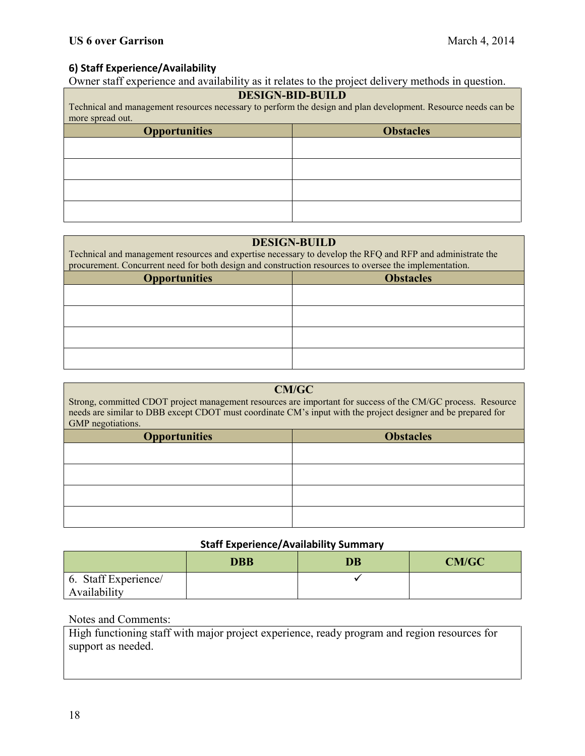# **6) Staff Experience/Availability**

Owner staff experience and availability as it relates to the project delivery methods in question.

# **DESIGN-BID-BUILD**

Technical and management resources necessary to perform the design and plan development. Resource needs can be more spread out.

| <b>Opportunities</b> | <b>Obstacles</b> |
|----------------------|------------------|
|                      |                  |
|                      |                  |
|                      |                  |
|                      |                  |

| <b>DESIGN-BUILD</b>                                                                                        |  |  |
|------------------------------------------------------------------------------------------------------------|--|--|
| Technical and management resources and expertise necessary to develop the RFQ and RFP and administrate the |  |  |
| procurement. Concurrent need for both design and construction resources to oversee the implementation.     |  |  |
| <b>Obstacles</b><br><b>Opportunities</b>                                                                   |  |  |
|                                                                                                            |  |  |
|                                                                                                            |  |  |
|                                                                                                            |  |  |
|                                                                                                            |  |  |
|                                                                                                            |  |  |
|                                                                                                            |  |  |
|                                                                                                            |  |  |
|                                                                                                            |  |  |

| CM/GC<br>Strong, committed CDOT project management resources are important for success of the CM/GC process. Resource<br>needs are similar to DBB except CDOT must coordinate CM's input with the project designer and be prepared for<br>GMP negotiations. |                  |  |
|-------------------------------------------------------------------------------------------------------------------------------------------------------------------------------------------------------------------------------------------------------------|------------------|--|
| <b>Opportunities</b>                                                                                                                                                                                                                                        | <b>Obstacles</b> |  |
|                                                                                                                                                                                                                                                             |                  |  |
|                                                                                                                                                                                                                                                             |                  |  |
|                                                                                                                                                                                                                                                             |                  |  |
|                                                                                                                                                                                                                                                             |                  |  |

# **Staff Experience/Availability Summary**

|                      | <b>DBB</b> | DB | <b>CM/GC</b> |
|----------------------|------------|----|--------------|
| 6. Staff Experience/ |            |    |              |
| Availability         |            |    |              |

## Notes and Comments:

High functioning staff with major project experience, ready program and region resources for support as needed.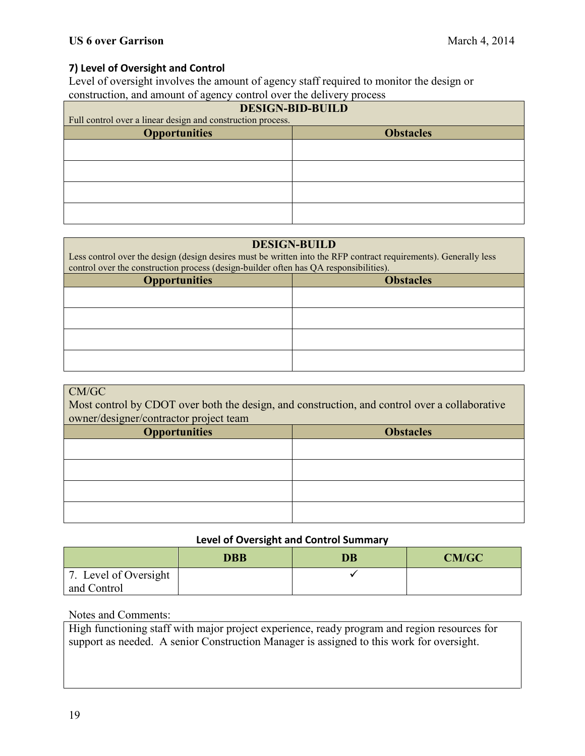# **7) Level of Oversight and Control**

Level of oversight involves the amount of agency staff required to monitor the design or construction, and amount of agency control over the delivery process

| <b>DESIGN-BID-BUILD</b>                                     |  |  |
|-------------------------------------------------------------|--|--|
| Full control over a linear design and construction process. |  |  |
| <b>Obstacles</b>                                            |  |  |
|                                                             |  |  |
|                                                             |  |  |
|                                                             |  |  |
|                                                             |  |  |
|                                                             |  |  |
|                                                             |  |  |
|                                                             |  |  |
|                                                             |  |  |

#### **DESIGN-BUILD**

Less control over the design (design desires must be written into the RFP contract requirements). Generally less control over the construction process (design-builder often has QA responsibilities).

| <b>Obstacles</b> |
|------------------|
|                  |
|                  |
|                  |
|                  |
|                  |
|                  |

#### CM/GC Most control by CDOT over both the design, and construction, and control over a collaborative owner/designer/contractor project team

| <b>Opportunities</b> | <b>Obstacles</b> |
|----------------------|------------------|
|                      |                  |
|                      |                  |
|                      |                  |
|                      |                  |

## **Level of Oversight and Control Summary**

|                                      | <b>DBB</b> | <b>DB</b> | <b>CM/GC</b> |
|--------------------------------------|------------|-----------|--------------|
| 7. Level of Oversight<br>and Control |            |           |              |

## Notes and Comments:

High functioning staff with major project experience, ready program and region resources for support as needed. A senior Construction Manager is assigned to this work for oversight.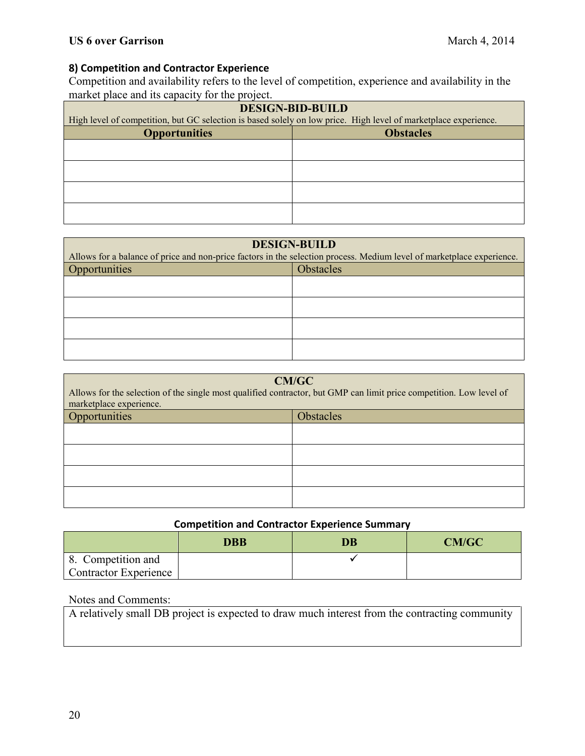# **8) Competition and Contractor Experience**

Competition and availability refers to the level of competition, experience and availability in the market place and its capacity for the project.

| <b>DESIGN-BID-BUILD</b>                                                                                         |                  |  |
|-----------------------------------------------------------------------------------------------------------------|------------------|--|
| High level of competition, but GC selection is based solely on low price. High level of marketplace experience. |                  |  |
| <b>Opportunities</b>                                                                                            | <b>Obstacles</b> |  |
|                                                                                                                 |                  |  |
|                                                                                                                 |                  |  |
|                                                                                                                 |                  |  |
|                                                                                                                 |                  |  |
|                                                                                                                 |                  |  |
|                                                                                                                 |                  |  |
|                                                                                                                 |                  |  |
|                                                                                                                 |                  |  |

| <b>DESIGN-BUILD</b><br>Allows for a balance of price and non-price factors in the selection process. Medium level of marketplace experience. |                  |
|----------------------------------------------------------------------------------------------------------------------------------------------|------------------|
| Opportunities                                                                                                                                | <b>Obstacles</b> |
|                                                                                                                                              |                  |
|                                                                                                                                              |                  |
|                                                                                                                                              |                  |
|                                                                                                                                              |                  |

| <b>CM/GC</b><br>Allows for the selection of the single most qualified contractor, but GMP can limit price competition. Low level of<br>marketplace experience. |  |  |
|----------------------------------------------------------------------------------------------------------------------------------------------------------------|--|--|
| Opportunities<br>Obstacles                                                                                                                                     |  |  |
|                                                                                                                                                                |  |  |
|                                                                                                                                                                |  |  |
|                                                                                                                                                                |  |  |
|                                                                                                                                                                |  |  |

## **Competition and Contractor Experience Summary**

|                              | <b>DBB</b> | <b>DB</b> | <b>CM/GC</b> |
|------------------------------|------------|-----------|--------------|
| 8. Competition and           |            |           |              |
| <b>Contractor Experience</b> |            |           |              |

## Notes and Comments:

A relatively small DB project is expected to draw much interest from the contracting community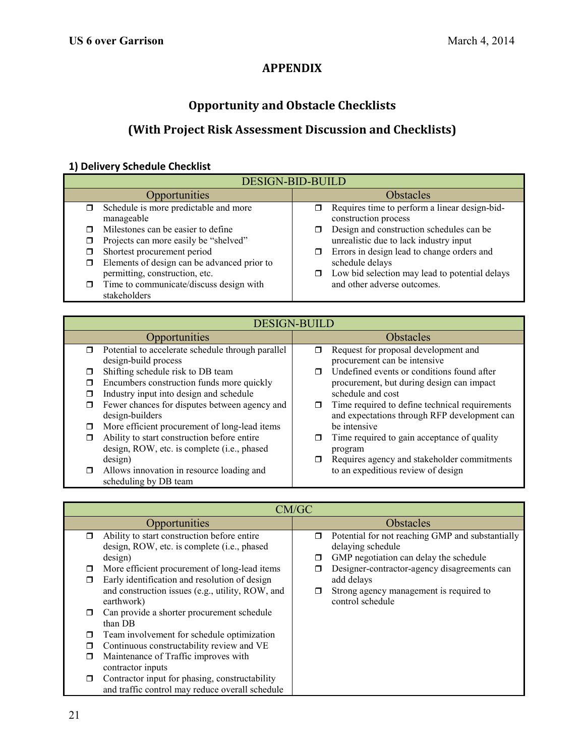# **APPENDIX**

# **Opportunity and Obstacle Checklists**

# **(With Project Risk Assessment Discussion and Checklists)**

# **1) Delivery Schedule Checklist**

| <b>DESIGN-BID-BUILD</b>                       |                                                      |  |
|-----------------------------------------------|------------------------------------------------------|--|
| Opportunities                                 | <b>Obstacles</b>                                     |  |
| Schedule is more predictable and more         | Requires time to perform a linear design-bid-<br>σ.  |  |
| manageable                                    | construction process                                 |  |
| Milestones can be easier to define            | Design and construction schedules can be             |  |
| Projects can more easily be "shelved"         | unrealistic due to lack industry input               |  |
| Shortest procurement period                   | Errors in design lead to change orders and<br>$\Box$ |  |
| Elements of design can be advanced prior to   | schedule delays                                      |  |
| permitting, construction, etc.                | Low bid selection may lead to potential delays<br>σ  |  |
| Time to communicate/discuss design with<br>π. | and other adverse outcomes.                          |  |
| stakeholders                                  |                                                      |  |

| <b>DESIGN-BUILD</b>                                                                                                                                    |                                                                                                                                 |  |
|--------------------------------------------------------------------------------------------------------------------------------------------------------|---------------------------------------------------------------------------------------------------------------------------------|--|
| Opportunities                                                                                                                                          | <b>Obstacles</b>                                                                                                                |  |
| Potential to accelerate schedule through parallel<br>$\Box$<br>design-build process                                                                    | Request for proposal development and<br>□<br>procurement can be intensive                                                       |  |
| Shifting schedule risk to DB team<br>Encumbers construction funds more quickly<br>П<br>Industry input into design and schedule                         | Undefined events or conditions found after<br>⊓<br>procurement, but during design can impact<br>schedule and cost               |  |
| Fewer chances for disputes between agency and<br>□<br>design-builders                                                                                  | Time required to define technical requirements<br>□<br>and expectations through RFP development can                             |  |
| More efficient procurement of long-lead items<br>Ability to start construction before entire<br>design, ROW, etc. is complete (i.e., phased<br>design) | be intensive<br>Time required to gain acceptance of quality<br>П<br>program<br>Requires agency and stakeholder commitments<br>π |  |
| Allows innovation in resource loading and<br>scheduling by DB team                                                                                     | to an expeditious review of design                                                                                              |  |

|        | CM/GC                                            |                  |                                                  |  |
|--------|--------------------------------------------------|------------------|--------------------------------------------------|--|
|        | Opportunities                                    | <b>Obstacles</b> |                                                  |  |
| $\Box$ | Ability to start construction before entire      | σ                | Potential for not reaching GMP and substantially |  |
|        | design, ROW, etc. is complete (i.e., phased      |                  | delaying schedule                                |  |
|        | design)                                          | □                | GMP negotiation can delay the schedule           |  |
| □      | More efficient procurement of long-lead items    |                  | Designer-contractor-agency disagreements can     |  |
| П      | Early identification and resolution of design    |                  | add delays                                       |  |
|        | and construction issues (e.g., utility, ROW, and |                  | Strong agency management is required to          |  |
|        | earthwork)                                       |                  | control schedule                                 |  |
|        | Can provide a shorter procurement schedule       |                  |                                                  |  |
|        | than DB                                          |                  |                                                  |  |
|        | Team involvement for schedule optimization       |                  |                                                  |  |
|        | Continuous constructability review and VE        |                  |                                                  |  |
| П      | Maintenance of Traffic improves with             |                  |                                                  |  |
|        | contractor inputs                                |                  |                                                  |  |
| ⊓      | Contractor input for phasing, constructability   |                  |                                                  |  |
|        | and traffic control may reduce overall schedule  |                  |                                                  |  |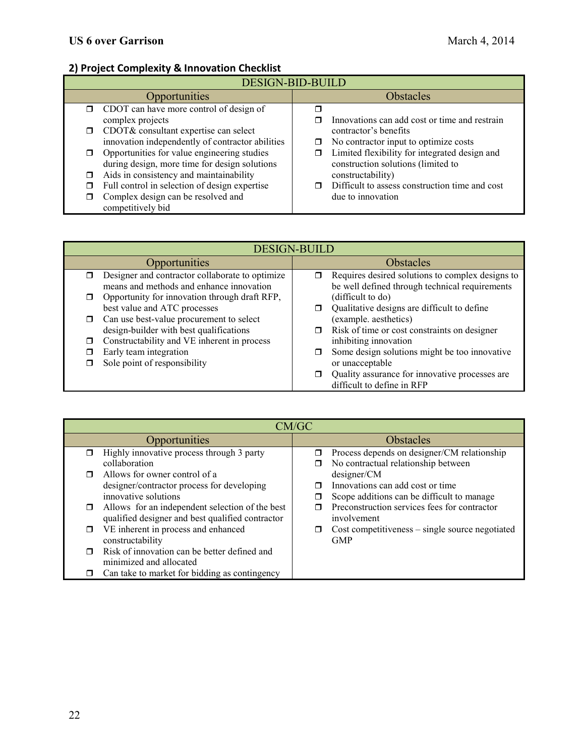# **2) Project Complexity & Innovation Checklist**

| <b>DESIGN-BID-BUILD</b>                          |                                                |  |
|--------------------------------------------------|------------------------------------------------|--|
| <b>Opportunities</b>                             | <b>Obstacles</b>                               |  |
| $\Box$ CDOT can have more control of design of   |                                                |  |
| complex projects                                 | Innovations can add cost or time and restrain  |  |
| CDOT& consultant expertise can select            | contractor's benefits                          |  |
| innovation independently of contractor abilities | No contractor input to optimize costs<br>□     |  |
| Opportunities for value engineering studies      | Limited flexibility for integrated design and  |  |
| during design, more time for design solutions    | construction solutions (limited to             |  |
| Aids in consistency and maintainability<br>п     | constructability)                              |  |
| Full control in selection of design expertise    | Difficult to assess construction time and cost |  |
| Complex design can be resolved and               | due to innovation                              |  |
| competitively bid                                |                                                |  |

| <b>DESIGN-BUILD</b> |                                                                                             |                  |                                                                                                    |
|---------------------|---------------------------------------------------------------------------------------------|------------------|----------------------------------------------------------------------------------------------------|
|                     | Opportunities                                                                               | <b>Obstacles</b> |                                                                                                    |
| ⊓                   | Designer and contractor collaborate to optimize<br>means and methods and enhance innovation |                  | Requires desired solutions to complex designs to<br>be well defined through technical requirements |
|                     | Opportunity for innovation through draft RFP,<br>best value and ATC processes               |                  | (difficult to do)<br>Qualitative designs are difficult to define                                   |
| $\Box$              | Can use best-value procurement to select<br>design-builder with best qualifications         | $\Box$           | (example. aesthetics)<br>Risk of time or cost constraints on designer                              |
|                     | Constructability and VE inherent in process                                                 |                  | inhibiting innovation                                                                              |
|                     | Early team integration<br>Sole point of responsibility                                      |                  | Some design solutions might be too innovative<br>or unacceptable                                   |
|                     |                                                                                             |                  | Quality assurance for innovative processes are<br>difficult to define in RFP                       |

| CM/GC  |                                                  |                  |                                                 |
|--------|--------------------------------------------------|------------------|-------------------------------------------------|
|        | Opportunities                                    | <b>Obstacles</b> |                                                 |
|        | Highly innovative process through 3 party        | π                | Process depends on designer/CM relationship     |
|        | collaboration                                    |                  | No contractual relationship between             |
|        | Allows for owner control of a                    |                  | designer/CM                                     |
|        | designer/contractor process for developing       |                  | Innovations can add cost or time                |
|        | innovative solutions                             |                  | Scope additions can be difficult to manage      |
| $\Box$ | Allows for an independent selection of the best  |                  | Preconstruction services fees for contractor    |
|        | qualified designer and best qualified contractor |                  | involvement                                     |
|        | VE inherent in process and enhanced              | ⊓                | Cost competitiveness - single source negotiated |
|        | constructability                                 |                  | <b>GMP</b>                                      |
|        | Risk of innovation can be better defined and     |                  |                                                 |
|        | minimized and allocated                          |                  |                                                 |
|        | Can take to market for bidding as contingency    |                  |                                                 |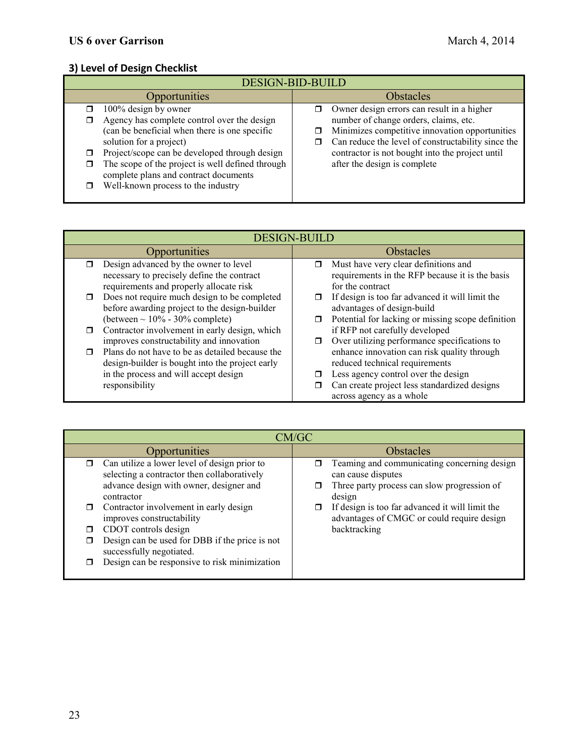# **3) Level of Design Checklist**

| <b>DESIGN-BID-BUILD</b>                                                                                                                                                                                                                                                                                                                                      |                                                                                                                                                                                                                                                                                     |  |  |
|--------------------------------------------------------------------------------------------------------------------------------------------------------------------------------------------------------------------------------------------------------------------------------------------------------------------------------------------------------------|-------------------------------------------------------------------------------------------------------------------------------------------------------------------------------------------------------------------------------------------------------------------------------------|--|--|
| <b>Opportunities</b>                                                                                                                                                                                                                                                                                                                                         | <b>Obstacles</b>                                                                                                                                                                                                                                                                    |  |  |
| 100% design by owner<br>$\Box$<br>Agency has complete control over the design<br>⊓<br>(can be beneficial when there is one specific<br>solution for a project)<br>Project/scope can be developed through design<br>The scope of the project is well defined through<br>⊓<br>complete plans and contract documents<br>Well-known process to the industry<br>⊓ | Owner design errors can result in a higher<br>number of change orders, claims, etc.<br>Minimizes competitive innovation opportunities<br>Can reduce the level of constructability since the<br>σ<br>contractor is not bought into the project until<br>after the design is complete |  |  |

| <b>DESIGN-BUILD</b>                                                                                                                            |                                                                                                                                    |  |
|------------------------------------------------------------------------------------------------------------------------------------------------|------------------------------------------------------------------------------------------------------------------------------------|--|
| <b>Opportunities</b>                                                                                                                           | <b>Obstacles</b>                                                                                                                   |  |
| Design advanced by the owner to level<br>⊓<br>necessary to precisely define the contract                                                       | Must have very clear definitions and<br>$\Box$<br>requirements in the RFP because it is the basis                                  |  |
| requirements and properly allocate risk                                                                                                        | for the contract                                                                                                                   |  |
| Does not require much design to be completed<br>□<br>before awarding project to the design-builder                                             | If design is too far advanced it will limit the<br>□<br>advantages of design-build                                                 |  |
| (between $\sim 10\%$ - 30% complete)                                                                                                           | Potential for lacking or missing scope definition<br>□                                                                             |  |
| Contractor involvement in early design, which<br>$\Box$                                                                                        | if RFP not carefully developed                                                                                                     |  |
| improves constructability and innovation<br>Plans do not have to be as detailed because the<br>design-builder is bought into the project early | Over utilizing performance specifications to<br>□<br>enhance innovation can risk quality through<br>reduced technical requirements |  |
| in the process and will accept design<br>responsibility                                                                                        | Less agency control over the design<br>Can create project less standardized designs<br>□<br>across agency as a whole               |  |

| CM/GC                                                                                                                                                                                                                                                                                                                                                                              |                                                                                                                                                                                                                                             |  |  |  |
|------------------------------------------------------------------------------------------------------------------------------------------------------------------------------------------------------------------------------------------------------------------------------------------------------------------------------------------------------------------------------------|---------------------------------------------------------------------------------------------------------------------------------------------------------------------------------------------------------------------------------------------|--|--|--|
| <b>Opportunities</b>                                                                                                                                                                                                                                                                                                                                                               | Obstacles                                                                                                                                                                                                                                   |  |  |  |
| Can utilize a lower level of design prior to<br>selecting a contractor then collaboratively<br>advance design with owner, designer and<br>contractor<br>Contractor involvement in early design<br>improves constructability<br>CDOT controls design<br>Design can be used for DBB if the price is not<br>successfully negotiated.<br>Design can be responsive to risk minimization | Teaming and communicating concerning design<br>can cause disputes<br>Three party process can slow progression of<br>design<br>If design is too far advanced it will limit the<br>advantages of CMGC or could require design<br>backtracking |  |  |  |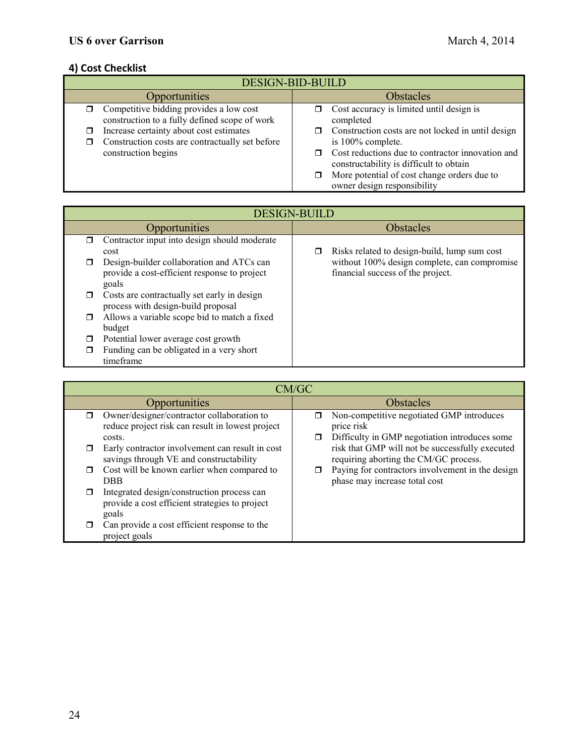# **4) Cost Checklist**

| <b>DESIGN-BID-BUILD</b>                                                                              |                                                                                             |  |
|------------------------------------------------------------------------------------------------------|---------------------------------------------------------------------------------------------|--|
| <b>Opportunities</b>                                                                                 | Obstacles                                                                                   |  |
| $\Box$ Competitive bidding provides a low cost<br>construction to a fully defined scope of work      | Cost accuracy is limited until design is<br>completed                                       |  |
| Increase certainty about cost estimates<br>◻<br>Construction costs are contractually set before<br>⊓ | Construction costs are not locked in until design<br>is 100% complete.                      |  |
| construction begins                                                                                  | Cost reductions due to contractor innovation and<br>constructability is difficult to obtain |  |
|                                                                                                      | More potential of cost change orders due to<br>owner design responsibility                  |  |

|   | <b>DESIGN-BUILD</b>                                                                                |                  |                                                                                   |  |
|---|----------------------------------------------------------------------------------------------------|------------------|-----------------------------------------------------------------------------------|--|
|   | Opportunities                                                                                      | <b>Obstacles</b> |                                                                                   |  |
| ⊓ | Contractor input into design should moderate<br>cost                                               |                  | Risks related to design-build, lump sum cost                                      |  |
|   | Design-builder collaboration and ATCs can<br>provide a cost-efficient response to project<br>goals |                  | without 100% design complete, can compromise<br>financial success of the project. |  |
|   | Costs are contractually set early in design<br>process with design-build proposal                  |                  |                                                                                   |  |
| □ | Allows a variable scope bid to match a fixed<br>budget                                             |                  |                                                                                   |  |
|   | Potential lower average cost growth                                                                |                  |                                                                                   |  |
|   | Funding can be obligated in a very short<br>timeframe                                              |                  |                                                                                   |  |

|        | CM/GC                                                                                                    |                  |                                                                                                          |
|--------|----------------------------------------------------------------------------------------------------------|------------------|----------------------------------------------------------------------------------------------------------|
|        | <b>Opportunities</b>                                                                                     | <b>Obstacles</b> |                                                                                                          |
|        | Owner/designer/contractor collaboration to<br>reduce project risk can result in lowest project<br>costs. |                  | Non-competitive negotiated GMP introduces<br>price risk<br>Difficulty in GMP negotiation introduces some |
|        | Early contractor involvement can result in cost<br>savings through VE and constructability               |                  | risk that GMP will not be successfully executed<br>requiring aborting the CM/GC process.                 |
| $\Box$ | Cost will be known earlier when compared to<br><b>DBB</b>                                                |                  | Paying for contractors involvement in the design<br>phase may increase total cost                        |
|        | Integrated design/construction process can<br>provide a cost efficient strategies to project<br>goals    |                  |                                                                                                          |
|        | Can provide a cost efficient response to the<br>project goals                                            |                  |                                                                                                          |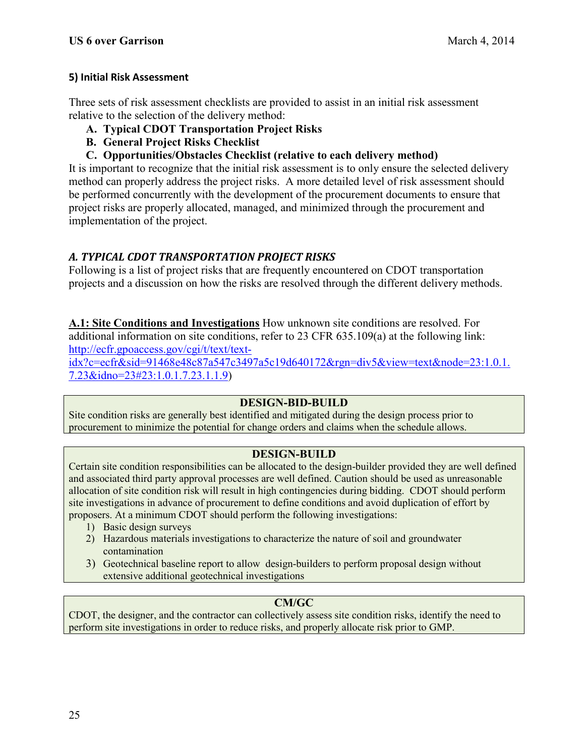# **5) Initial Risk Assessment**

Three sets of risk assessment checklists are provided to assist in an initial risk assessment relative to the selection of the delivery method:

- **A. Typical CDOT Transportation Project Risks**
- **B. General Project Risks Checklist**
- **C. Opportunities/Obstacles Checklist (relative to each delivery method)**

It is important to recognize that the initial risk assessment is to only ensure the selected delivery method can properly address the project risks. A more detailed level of risk assessment should be performed concurrently with the development of the procurement documents to ensure that project risks are properly allocated, managed, and minimized through the procurement and implementation of the project.

# *A. TYPICAL CDOT TRANSPORTATION PROJECT RISKS*

Following is a list of project risks that are frequently encountered on CDOT transportation projects and a discussion on how the risks are resolved through the different delivery methods.

**A.1: Site Conditions and Investigations** How unknown site conditions are resolved. For additional information on site conditions, refer to 23 CFR 635.109(a) at the following link: [http://ecfr.gpoaccess.gov/cgi/t/text/text-](http://ecfr.gpoaccess.gov/cgi/t/text/text-idx?c=ecfr&sid=91468e48c87a547c3497a5c19d640172&rgn=div5&view=text&node=23:1.0.1.7.23&idno=23#23:1.0.1.7.23.1.1.9)

[idx?c=ecfr&sid=91468e48c87a547c3497a5c19d640172&rgn=div5&view=text&node=23:1.0.1.](http://ecfr.gpoaccess.gov/cgi/t/text/text-idx?c=ecfr&sid=91468e48c87a547c3497a5c19d640172&rgn=div5&view=text&node=23:1.0.1.7.23&idno=23#23:1.0.1.7.23.1.1.9) [7.23&idno=23#23:1.0.1.7.23.1.1.9\)](http://ecfr.gpoaccess.gov/cgi/t/text/text-idx?c=ecfr&sid=91468e48c87a547c3497a5c19d640172&rgn=div5&view=text&node=23:1.0.1.7.23&idno=23#23:1.0.1.7.23.1.1.9)

## **DESIGN-BID-BUILD**

Site condition risks are generally best identified and mitigated during the design process prior to procurement to minimize the potential for change orders and claims when the schedule allows.

# **DESIGN-BUILD**

Certain site condition responsibilities can be allocated to the design-builder provided they are well defined and associated third party approval processes are well defined. Caution should be used as unreasonable allocation of site condition risk will result in high contingencies during bidding. CDOT should perform site investigations in advance of procurement to define conditions and avoid duplication of effort by proposers. At a minimum CDOT should perform the following investigations:

- 1) Basic design surveys
- 2) Hazardous materials investigations to characterize the nature of soil and groundwater contamination
- 3) Geotechnical baseline report to allow design-builders to perform proposal design without extensive additional geotechnical investigations

# **CM/GC**

CDOT, the designer, and the contractor can collectively assess site condition risks, identify the need to perform site investigations in order to reduce risks, and properly allocate risk prior to GMP.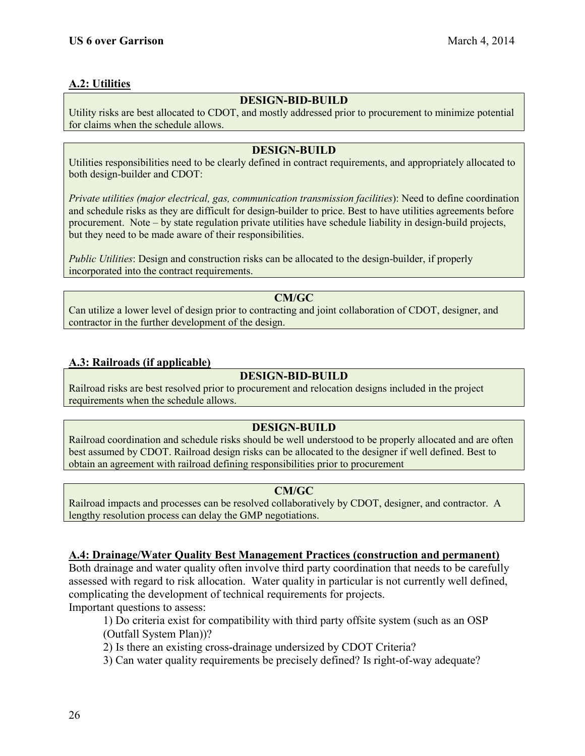# **A.2: Utilities**

## **DESIGN-BID-BUILD**

Utility risks are best allocated to CDOT, and mostly addressed prior to procurement to minimize potential for claims when the schedule allows.

## **DESIGN-BUILD**

Utilities responsibilities need to be clearly defined in contract requirements, and appropriately allocated to both design-builder and CDOT:

*Private utilities (major electrical, gas, communication transmission facilities*): Need to define coordination and schedule risks as they are difficult for design-builder to price. Best to have utilities agreements before procurement. Note – by state regulation private utilities have schedule liability in design-build projects, but they need to be made aware of their responsibilities.

*Public Utilities*: Design and construction risks can be allocated to the design-builder, if properly incorporated into the contract requirements.

**CM/GC** Can utilize a lower level of design prior to contracting and joint collaboration of CDOT, designer, and contractor in the further development of the design.

# **A.3: Railroads (if applicable)**

# **DESIGN-BID-BUILD**

Railroad risks are best resolved prior to procurement and relocation designs included in the project requirements when the schedule allows.

# **DESIGN-BUILD**

Railroad coordination and schedule risks should be well understood to be properly allocated and are often best assumed by CDOT. Railroad design risks can be allocated to the designer if well defined. Best to obtain an agreement with railroad defining responsibilities prior to procurement

## **CM/GC**

Railroad impacts and processes can be resolved collaboratively by CDOT, designer, and contractor. A lengthy resolution process can delay the GMP negotiations.

# **A.4: Drainage/Water Quality Best Management Practices (construction and permanent)**

Both drainage and water quality often involve third party coordination that needs to be carefully assessed with regard to risk allocation. Water quality in particular is not currently well defined, complicating the development of technical requirements for projects.

Important questions to assess:

1) Do criteria exist for compatibility with third party offsite system (such as an OSP (Outfall System Plan))?

2) Is there an existing cross-drainage undersized by CDOT Criteria?

3) Can water quality requirements be precisely defined? Is right-of-way adequate?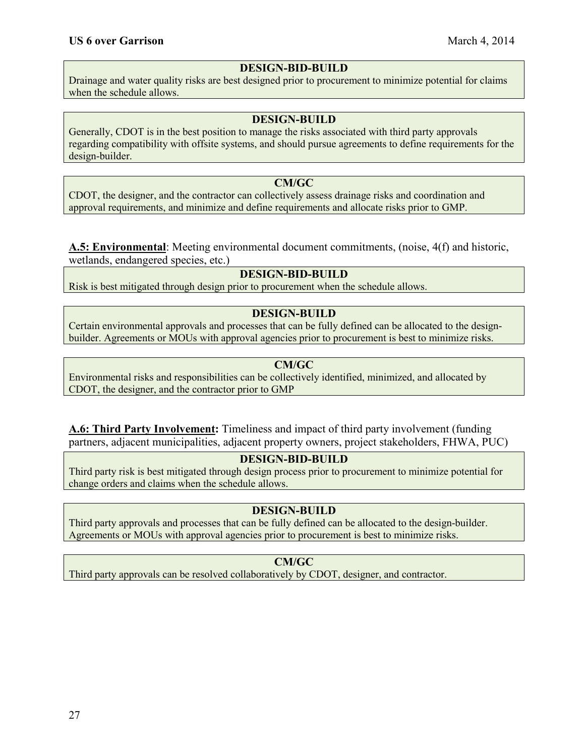## **DESIGN-BID-BUILD**

Drainage and water quality risks are best designed prior to procurement to minimize potential for claims when the schedule allows.

## **DESIGN-BUILD**

Generally, CDOT is in the best position to manage the risks associated with third party approvals regarding compatibility with offsite systems, and should pursue agreements to define requirements for the design-builder.

## **CM/GC**

CDOT, the designer, and the contractor can collectively assess drainage risks and coordination and approval requirements, and minimize and define requirements and allocate risks prior to GMP.

**A.5: Environmental**: Meeting environmental document commitments, (noise, 4(f) and historic, wetlands, endangered species, etc.)

# **DESIGN-BID-BUILD**

Risk is best mitigated through design prior to procurement when the schedule allows.

#### **DESIGN-BUILD**

Certain environmental approvals and processes that can be fully defined can be allocated to the designbuilder. Agreements or MOUs with approval agencies prior to procurement is best to minimize risks.

## **CM/GC**

Environmental risks and responsibilities can be collectively identified, minimized, and allocated by CDOT, the designer, and the contractor prior to GMP

**A.6: Third Party Involvement:** Timeliness and impact of third party involvement (funding partners, adjacent municipalities, adjacent property owners, project stakeholders, FHWA, PUC)

# **DESIGN-BID-BUILD**

Third party risk is best mitigated through design process prior to procurement to minimize potential for change orders and claims when the schedule allows.

## **DESIGN-BUILD**

Third party approvals and processes that can be fully defined can be allocated to the design-builder. Agreements or MOUs with approval agencies prior to procurement is best to minimize risks.

## **CM/GC**

Third party approvals can be resolved collaboratively by CDOT, designer, and contractor.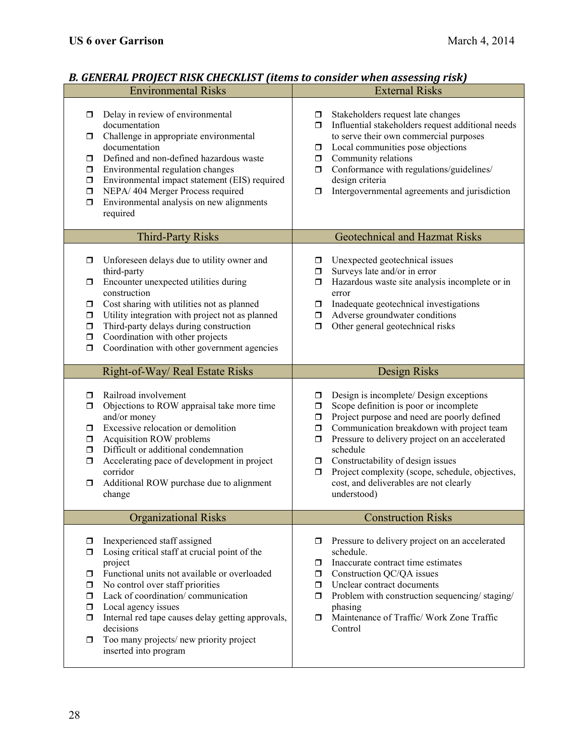# *B. GENERAL PROJECT RISK CHECKLIST (items to consider when assessing risk)*

|                                                                              | <b>Environmental Risks</b>                                                                                                                                                                                                                                                                                                                                                     | <b>External Risks</b>                                                                                                                                                                                                                                                                                                                                                                                                                                 |
|------------------------------------------------------------------------------|--------------------------------------------------------------------------------------------------------------------------------------------------------------------------------------------------------------------------------------------------------------------------------------------------------------------------------------------------------------------------------|-------------------------------------------------------------------------------------------------------------------------------------------------------------------------------------------------------------------------------------------------------------------------------------------------------------------------------------------------------------------------------------------------------------------------------------------------------|
| $\Box$<br>σ.<br>$\Box$<br>$\Box$<br>$\Box$<br>$\Box$<br>$\Box$               | Delay in review of environmental<br>documentation<br>Challenge in appropriate environmental<br>documentation<br>Defined and non-defined hazardous waste<br>Environmental regulation changes<br>Environmental impact statement (EIS) required<br>NEPA/404 Merger Process required<br>Environmental analysis on new alignments<br>required                                       | Stakeholders request late changes<br>σ.<br>Influential stakeholders request additional needs<br>ο.<br>to serve their own commercial purposes<br>Local communities pose objections<br>σ.<br>Community relations<br>$\Box$<br>Conformance with regulations/guidelines/<br>Ο.<br>design criteria<br>Intergovernmental agreements and jurisdiction<br>$\Box$                                                                                              |
|                                                                              | <b>Third-Party Risks</b>                                                                                                                                                                                                                                                                                                                                                       | <b>Geotechnical and Hazmat Risks</b>                                                                                                                                                                                                                                                                                                                                                                                                                  |
| $\Box$<br>$\Box$<br>$\Box$<br>$\Box$<br>$\Box$<br>$\Box$<br>$\Box$           | Unforeseen delays due to utility owner and<br>third-party<br>Encounter unexpected utilities during<br>construction<br>Cost sharing with utilities not as planned<br>Utility integration with project not as planned<br>Third-party delays during construction<br>Coordination with other projects<br>Coordination with other government agencies                               | Unexpected geotechnical issues<br>σ.<br>Surveys late and/or in error<br>$\Box$<br>Hazardous waste site analysis incomplete or in<br>$\Box$<br>error<br>Inadequate geotechnical investigations<br>$\Box$<br>Adverse groundwater conditions<br>Ο.<br>Other general geotechnical risks<br>$\Box$                                                                                                                                                         |
|                                                                              | Right-of-Way/ Real Estate Risks                                                                                                                                                                                                                                                                                                                                                | <b>Design Risks</b>                                                                                                                                                                                                                                                                                                                                                                                                                                   |
| $\Box$<br>$\Box$<br>$\Box$<br>$\Box$<br>$\Box$<br>$\Box$<br>□                | Railroad involvement<br>Objections to ROW appraisal take more time<br>and/or money<br>Excessive relocation or demolition<br>Acquisition ROW problems<br>Difficult or additional condemnation<br>Accelerating pace of development in project<br>corridor<br>Additional ROW purchase due to alignment<br>change                                                                  | Design is incomplete/ Design exceptions<br>0<br>Scope definition is poor or incomplete<br>$\Box$<br>Project purpose and need are poorly defined<br>$\Box$<br>Communication breakdown with project team<br>$\Box$<br>Pressure to delivery project on an accelerated<br>σ.<br>schedule<br>Constructability of design issues<br>□<br>Project complexity (scope, schedule, objectives,<br>$\Box$<br>cost, and deliverables are not clearly<br>understood) |
|                                                                              | <b>Organizational Risks</b>                                                                                                                                                                                                                                                                                                                                                    | <b>Construction Risks</b>                                                                                                                                                                                                                                                                                                                                                                                                                             |
| $\Box$<br>$\Box$<br>$\Box$<br>$\Box$<br>$\Box$<br>$\Box$<br>$\Box$<br>$\Box$ | Inexperienced staff assigned<br>Losing critical staff at crucial point of the<br>project<br>Functional units not available or overloaded<br>No control over staff priorities<br>Lack of coordination/communication<br>Local agency issues<br>Internal red tape causes delay getting approvals,<br>decisions<br>Too many projects/new priority project<br>inserted into program | Pressure to delivery project on an accelerated<br>σ.<br>schedule.<br>Inaccurate contract time estimates<br>σ<br>Construction QC/QA issues<br>σ.<br>Unclear contract documents<br>Ο.<br>Problem with construction sequencing/staging/<br>Ο.<br>phasing<br>Maintenance of Traffic/ Work Zone Traffic<br>$\Box$<br>Control                                                                                                                               |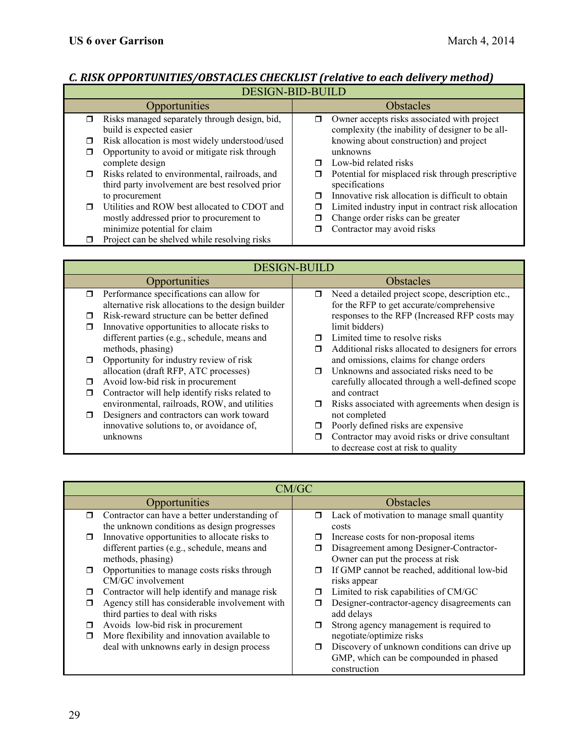# *C. RISK OPPORTUNITIES/OBSTACLES CHECKLIST (relative to each delivery method)*

| <b>DESIGN-BID-BUILD</b>                                                                                     |                                                                                                                   |  |  |
|-------------------------------------------------------------------------------------------------------------|-------------------------------------------------------------------------------------------------------------------|--|--|
| Opportunities                                                                                               | <b>Obstacles</b>                                                                                                  |  |  |
| Risks managed separately through design, bid,<br>σ.<br>build is expected easier                             | Owner accepts risks associated with project<br>⊓<br>complexity (the inability of designer to be all-              |  |  |
| Risk allocation is most widely understood/used<br>$\Box$                                                    | knowing about construction) and project                                                                           |  |  |
| Opportunity to avoid or mitigate risk through<br>□<br>complete design                                       | unknowns<br>Low-bid related risks<br>⊓                                                                            |  |  |
| Risks related to environmental, railroads, and<br>$\Box$<br>third party involvement are best resolved prior | Potential for misplaced risk through prescriptive<br>□<br>specifications                                          |  |  |
| to procurement<br>Utilities and ROW best allocated to CDOT and<br>$\Box$                                    | Innovative risk allocation is difficult to obtain<br>⊓<br>Limited industry input in contract risk allocation<br>□ |  |  |
| mostly addressed prior to procurement to<br>minimize potential for claim                                    | Change order risks can be greater<br>Contractor may avoid risks                                                   |  |  |
| Project can be shelved while resolving risks                                                                |                                                                                                                   |  |  |

| <b>DESIGN-BUILD</b>                                     |  |                |                                                    |
|---------------------------------------------------------|--|----------------|----------------------------------------------------|
| Opportunities                                           |  | Obstacles      |                                                    |
| Performance specifications can allow for<br>$\Box$      |  | σ              | Need a detailed project scope, description etc.,   |
| alternative risk allocations to the design builder      |  |                | for the RFP to get accurate/comprehensive          |
| Risk-reward structure can be better defined<br>$\Box$   |  |                | responses to the RFP (Increased RFP costs may      |
| Innovative opportunities to allocate risks to<br>$\Box$ |  |                | limit bidders)                                     |
| different parties (e.g., schedule, means and            |  | ⊓              | Limited time to resolve risks                      |
| methods, phasing)                                       |  | π              | Additional risks allocated to designers for errors |
| Opportunity for industry review of risk<br>$\Box$       |  |                | and omissions, claims for change orders            |
| allocation (draft RFP, ATC processes)                   |  | $\blacksquare$ | Unknowns and associated risks need to be           |
| Avoid low-bid risk in procurement<br>$\Box$             |  |                | carefully allocated through a well-defined scope   |
| Contractor will help identify risks related to<br>□     |  |                | and contract                                       |
| environmental, railroads, ROW, and utilities            |  | $\Box$         | Risks associated with agreements when design is    |
| Designers and contractors can work toward<br>$\Box$     |  |                | not completed                                      |
| innovative solutions to, or avoidance of,               |  | □              | Poorly defined risks are expensive                 |
| unknowns                                                |  | Ω              | Contractor may avoid risks or drive consultant     |
|                                                         |  |                | to decrease cost at risk to quality                |

| CM/GC                            |                                                |        |                                              |  |
|----------------------------------|------------------------------------------------|--------|----------------------------------------------|--|
|                                  | Opportunities                                  |        | <b>Obstacles</b>                             |  |
| $\Box$                           | Contractor can have a better understanding of  | $\Box$ | Lack of motivation to manage small quantity  |  |
|                                  | the unknown conditions as design progresses    |        | costs                                        |  |
| $\Box$                           | Innovative opportunities to allocate risks to  |        | Increase costs for non-proposal items        |  |
|                                  | different parties (e.g., schedule, means and   |        | Disagreement among Designer-Contractor-      |  |
|                                  | methods, phasing)                              |        | Owner can put the process at risk            |  |
| $\Box$                           | Opportunities to manage costs risks through    | Π      | If GMP cannot be reached, additional low-bid |  |
|                                  | CM/GC involvement                              |        | risks appear                                 |  |
| □                                | Contractor will help identify and manage risk  | ⊓      | Limited to risk capabilities of CM/GC        |  |
| ⊓                                | Agency still has considerable involvement with |        | Designer-contractor-agency disagreements can |  |
| third parties to deal with risks |                                                |        | add delays                                   |  |
| ⊓                                | Avoids low-bid risk in procurement             | □      | Strong agency management is required to      |  |
| $\Box$                           | More flexibility and innovation available to   |        | negotiate/optimize risks                     |  |
|                                  | deal with unknowns early in design process     | $\Box$ | Discovery of unknown conditions can drive up |  |
|                                  |                                                |        | GMP, which can be compounded in phased       |  |
|                                  |                                                |        | construction                                 |  |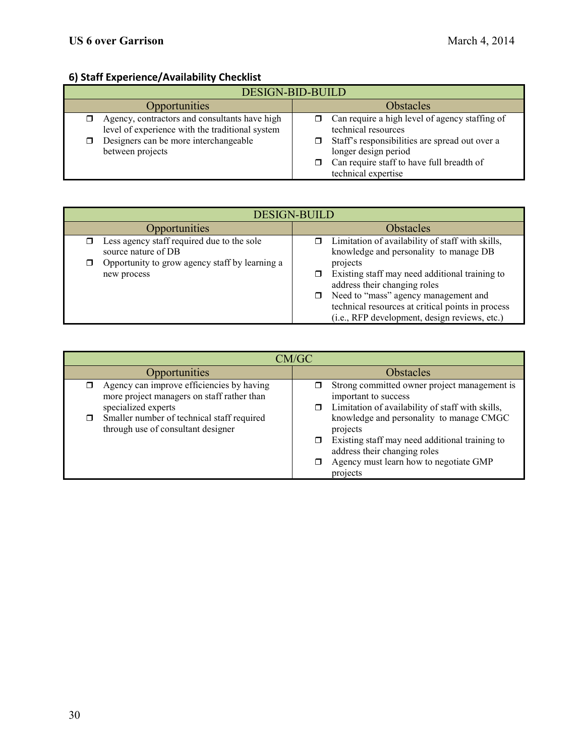# **6) Staff Experience/Availability Checklist**

| 0) Start Experience/Availability Checklist                                                                                                                    |                                                                                                                                                                                                                               |  |  |
|---------------------------------------------------------------------------------------------------------------------------------------------------------------|-------------------------------------------------------------------------------------------------------------------------------------------------------------------------------------------------------------------------------|--|--|
| <b>DESIGN-BID-BUILD</b>                                                                                                                                       |                                                                                                                                                                                                                               |  |  |
| <b>Opportunities</b>                                                                                                                                          | <b>Obstacles</b>                                                                                                                                                                                                              |  |  |
| Agency, contractors and consultants have high<br>level of experience with the traditional system<br>Designers can be more interchangeable<br>between projects | Can require a high level of agency staffing of<br>$\Box$<br>technical resources<br>Staff's responsibilities are spread out over a<br>longer design period<br>Can require staff to have full breadth of<br>technical expertise |  |  |

| <b>DESIGN-BUILD</b>                                                                                                                |                                                                                                                                                                                                                                                                                                                                        |  |
|------------------------------------------------------------------------------------------------------------------------------------|----------------------------------------------------------------------------------------------------------------------------------------------------------------------------------------------------------------------------------------------------------------------------------------------------------------------------------------|--|
| Opportunities                                                                                                                      | Obstacles                                                                                                                                                                                                                                                                                                                              |  |
| Less agency staff required due to the sole<br>source nature of DB<br>Opportunity to grow agency staff by learning a<br>new process | Limitation of availability of staff with skills,<br>knowledge and personality to manage DB<br>projects<br>Existing staff may need additional training to<br>address their changing roles<br>Need to "mass" agency management and<br>technical resources at critical points in process<br>(i.e., RFP development, design reviews, etc.) |  |

| CM/GC                                                                                                          |                                                                                                                                                                                              |  |  |
|----------------------------------------------------------------------------------------------------------------|----------------------------------------------------------------------------------------------------------------------------------------------------------------------------------------------|--|--|
| Opportunities                                                                                                  | <b>Obstacles</b>                                                                                                                                                                             |  |  |
| Agency can improve efficiencies by having<br>more project managers on staff rather than<br>specialized experts | Strong committed owner project management is<br>important to success<br>Limitation of availability of staff with skills,                                                                     |  |  |
| Smaller number of technical staff required<br>through use of consultant designer                               | knowledge and personality to manage CMGC<br>projects<br>Existing staff may need additional training to<br>address their changing roles<br>Agency must learn how to negotiate GMP<br>projects |  |  |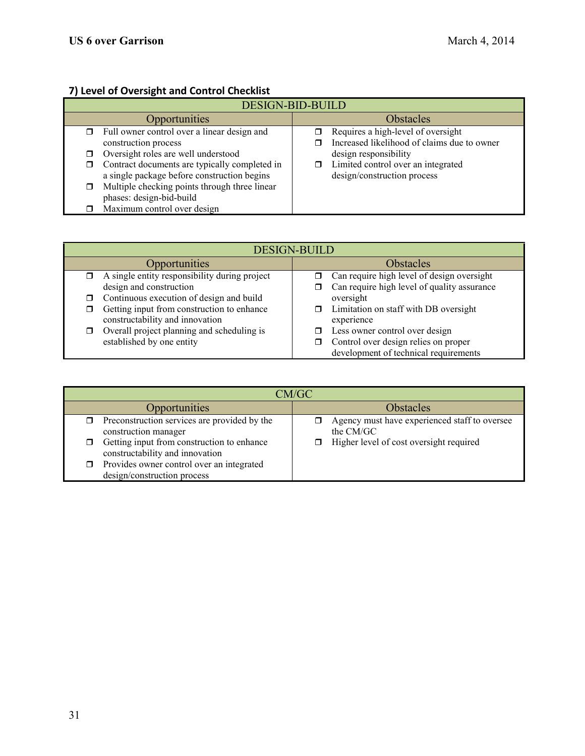# **7) Level of Oversight and Control Checklist**

| <b>DESIGN-BID-BUILD</b> |                                                                                              |                  |                                                                                   |
|-------------------------|----------------------------------------------------------------------------------------------|------------------|-----------------------------------------------------------------------------------|
| Opportunities           |                                                                                              | <b>Obstacles</b> |                                                                                   |
| ⊓                       | Full owner control over a linear design and<br>construction process                          |                  | Requires a high-level of oversight<br>Increased likelihood of claims due to owner |
|                         | Oversight roles are well understood                                                          |                  | design responsibility                                                             |
| □                       | Contract documents are typically completed in<br>a single package before construction begins | σ                | Limited control over an integrated<br>design/construction process                 |
|                         | Multiple checking points through three linear<br>phases: design-bid-build                    |                  |                                                                                   |
|                         | Maximum control over design                                                                  |                  |                                                                                   |

| <b>DESIGN-BUILD</b>                                                           |                                                                               |  |  |
|-------------------------------------------------------------------------------|-------------------------------------------------------------------------------|--|--|
| Opportunities                                                                 | <b>Obstacles</b>                                                              |  |  |
| A single entity responsibility during project                                 | Can require high level of design oversight                                    |  |  |
| design and construction                                                       | Can require high level of quality assurance                                   |  |  |
| Continuous execution of design and build                                      | oversight                                                                     |  |  |
| Getting input from construction to enhance<br>constructability and innovation | $\Box$ Limitation on staff with DB oversight<br>experience                    |  |  |
| Overall project planning and scheduling is                                    | Less owner control over design                                                |  |  |
| established by one entity                                                     | Control over design relies on proper<br>development of technical requirements |  |  |

| CM/GC                                                                         |                                                            |  |  |
|-------------------------------------------------------------------------------|------------------------------------------------------------|--|--|
| Opportunities                                                                 | <b>Obstacles</b>                                           |  |  |
| Preconstruction services are provided by the<br>construction manager          | Agency must have experienced staff to oversee<br>the CM/GC |  |  |
| Getting input from construction to enhance<br>constructability and innovation | Higher level of cost oversight required                    |  |  |
| Provides owner control over an integrated<br>design/construction process      |                                                            |  |  |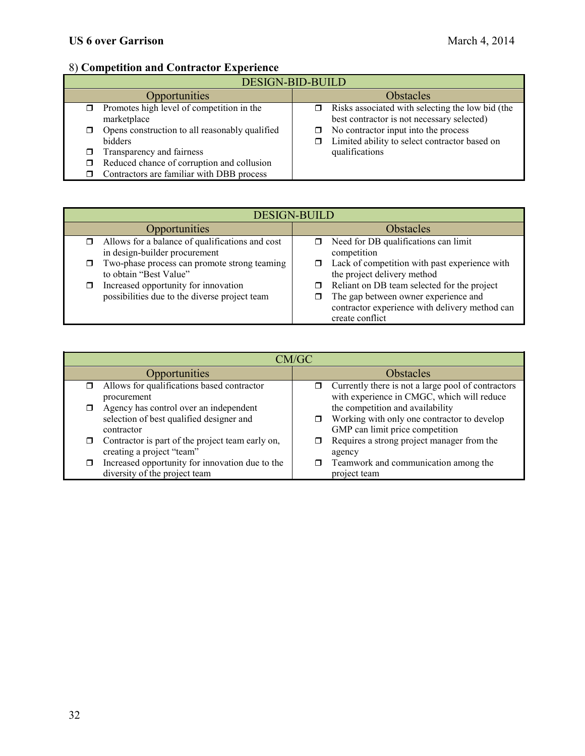# 8) **Competition and Contractor Experience**

| <b>DESIGN-BID-BUILD</b>                                   |                                                                                                |  |  |
|-----------------------------------------------------------|------------------------------------------------------------------------------------------------|--|--|
| Opportunities                                             | <b>Obstacles</b>                                                                               |  |  |
| Promotes high level of competition in the<br>marketplace  | Risks associated with selecting the low bid (the<br>best contractor is not necessary selected) |  |  |
| Opens construction to all reasonably qualified<br>bidders | No contractor input into the process<br>Limited ability to select contractor based on          |  |  |
| Transparency and fairness                                 | qualifications                                                                                 |  |  |
| Reduced chance of corruption and collusion                |                                                                                                |  |  |
| Contractors are familiar with DBB process                 |                                                                                                |  |  |

| <b>DESIGN-BUILD</b>                                                                   |                                                                                                                                                               |  |
|---------------------------------------------------------------------------------------|---------------------------------------------------------------------------------------------------------------------------------------------------------------|--|
| Opportunities                                                                         | <b>Obstacles</b>                                                                                                                                              |  |
| Allows for a balance of qualifications and cost<br>in design-builder procurement      | Need for DB qualifications can limit<br>σ<br>competition                                                                                                      |  |
| Two-phase process can promote strong teaming<br>to obtain "Best Value"                | Lack of competition with past experience with<br>0<br>the project delivery method                                                                             |  |
| Increased opportunity for innovation<br>possibilities due to the diverse project team | Reliant on DB team selected for the project<br>σ<br>The gap between owner experience and<br>contractor experience with delivery method can<br>create conflict |  |

| CM/GC                                  |                                                  |                  |                                                    |
|----------------------------------------|--------------------------------------------------|------------------|----------------------------------------------------|
| Opportunities                          |                                                  | <b>Obstacles</b> |                                                    |
|                                        | Allows for qualifications based contractor       |                  | Currently there is not a large pool of contractors |
|                                        | procurement                                      |                  | with experience in CMGC, which will reduce         |
| Agency has control over an independent |                                                  |                  | the competition and availability                   |
|                                        | selection of best qualified designer and         |                  | Working with only one contractor to develop        |
| contractor                             |                                                  |                  | GMP can limit price competition                    |
|                                        | Contractor is part of the project team early on, |                  | Requires a strong project manager from the         |
|                                        | creating a project "team"                        |                  | agency                                             |
|                                        | Increased opportunity for innovation due to the  | $\Box$           | Teamwork and communication among the               |
|                                        | diversity of the project team                    |                  | project team                                       |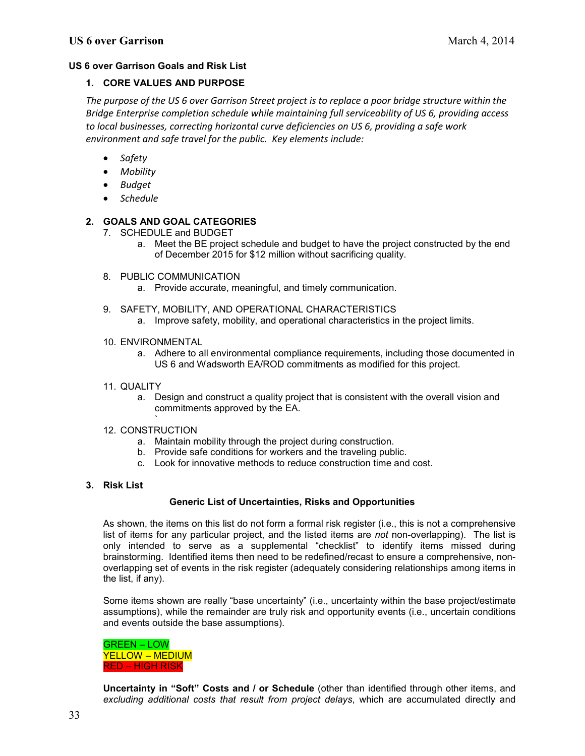#### **US 6 over Garrison Goals and Risk List**

#### **1. CORE VALUES AND PURPOSE**

*The purpose of the US 6 over Garrison Street project is to replace a poor bridge structure within the Bridge Enterprise completion schedule while maintaining full serviceability of US 6, providing access to local businesses, correcting horizontal curve deficiencies on US 6, providing a safe work environment and safe travel for the public. Key elements include:*

- *Safety*
- *Mobility*
- *Budget*
- *Schedule*

#### **2. GOALS AND GOAL CATEGORIES**

- 7. SCHEDULE and BUDGET
	- a. Meet the BE project schedule and budget to have the project constructed by the end of December 2015 for \$12 million without sacrificing quality.
- 8. PUBLIC COMMUNICATION
	- a. Provide accurate, meaningful, and timely communication.
- 9. SAFETY, MOBILITY, AND OPERATIONAL CHARACTERISTICS
	- a. Improve safety, mobility, and operational characteristics in the project limits.
- 10. ENVIRONMENTAL
	- a. Adhere to all environmental compliance requirements, including those documented in US 6 and Wadsworth EA/ROD commitments as modified for this project.
- 11. QUALITY
	- a. Design and construct a quality project that is consistent with the overall vision and commitments approved by the EA.
- ` 12. CONSTRUCTION
	- a. Maintain mobility through the project during construction.
	- b. Provide safe conditions for workers and the traveling public.
	- c. Look for innovative methods to reduce construction time and cost.
- **3. Risk List**

#### **Generic List of Uncertainties, Risks and Opportunities**

As shown, the items on this list do not form a formal risk register (i.e., this is not a comprehensive list of items for any particular project, and the listed items are *not* non-overlapping). The list is only intended to serve as a supplemental "checklist" to identify items missed during brainstorming. Identified items then need to be redefined/recast to ensure a comprehensive, nonoverlapping set of events in the risk register (adequately considering relationships among items in the list, if any).

Some items shown are really "base uncertainty" (i.e., uncertainty within the base project/estimate assumptions), while the remainder are truly risk and opportunity events (i.e., uncertain conditions and events outside the base assumptions).

GREEN – LOW YELLOW – MEDIUM RED – HIGH RISK

**Uncertainty in "Soft" Costs and / or Schedule** (other than identified through other items, and *excluding additional costs that result from project delays*, which are accumulated directly and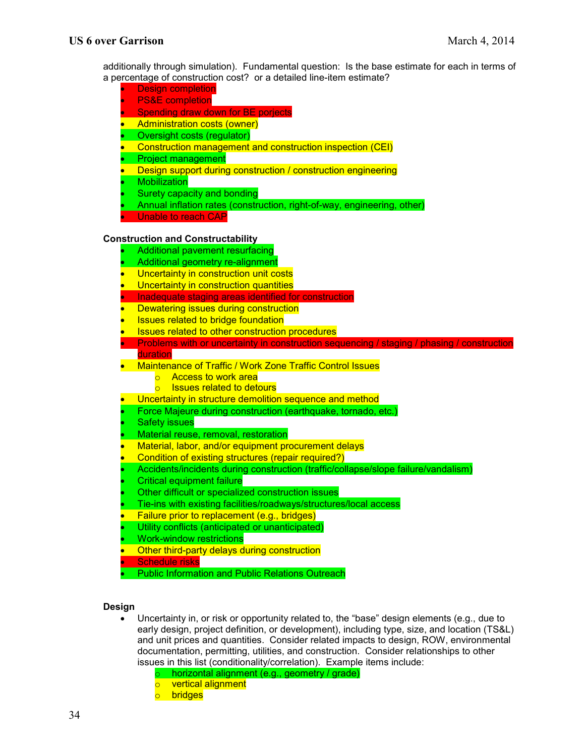additionally through simulation). Fundamental question: Is the base estimate for each in terms of a percentage of construction cost? or a detailed line-item estimate?

- **Design completion**
- **PS&E** completion
- Spending draw down for BE porjects
- Administration costs (owner)
- Oversight costs (regulator)
- Construction management and construction inspection (CEI)
- Project management
- Design support during construction / construction engineering
- **Mobilization**
- Surety capacity and bonding
- Annual inflation rates (construction, right-of-way, engineering, other)
- Unable to reach CAP

#### **Construction and Constructability**

- Additional pavement resurfacing
- Additional geometry re-alignment
- Uncertainty in construction unit costs
- **Uncertainty in construction quantities**
- Inadequate staging areas identified for construction
- Dewatering issues during construction
- **Issues related to bridge foundation**
- **Issues related to other construction procedures**
- Problems with or uncertainty in construction sequencing / staging / phasing / construction duration
- Maintenance of Traffic / Work Zone Traffic Control Issues
	- o Access to work area
	- o Issues related to detours
- Uncertainty in structure demolition sequence and method
- Force Majeure during construction (earthquake, tornado, etc.)
- **Safety issues**
- Material reuse, removal, restoration
- Material, labor, and/or equipment procurement delays
- Condition of existing structures (repair required?)
- Accidents/incidents during construction (traffic/collapse/slope failure/vandalism)
- Critical equipment failure
- Other difficult or specialized construction issues
- Tie-ins with existing facilities/roadways/structures/local access
- Failure prior to replacement (e.g., bridges)
- Utility conflicts (anticipated or unanticipated)
- Work-window restrictions
- **Other third-party delays during construction**
- Schedule risks
- **Public Information and Public Relations Outreach**

#### **Design**

- Uncertainty in, or risk or opportunity related to, the "base" design elements (e.g., due to early design, project definition, or development), including type, size, and location (TS&L) and unit prices and quantities. Consider related impacts to design, ROW, environmental documentation, permitting, utilities, and construction. Consider relationships to other issues in this list (conditionality/correlation). Example items include:
	- o horizontal alignment (e.g., geometry / grade)
	- o vertical alignment
	- o bridges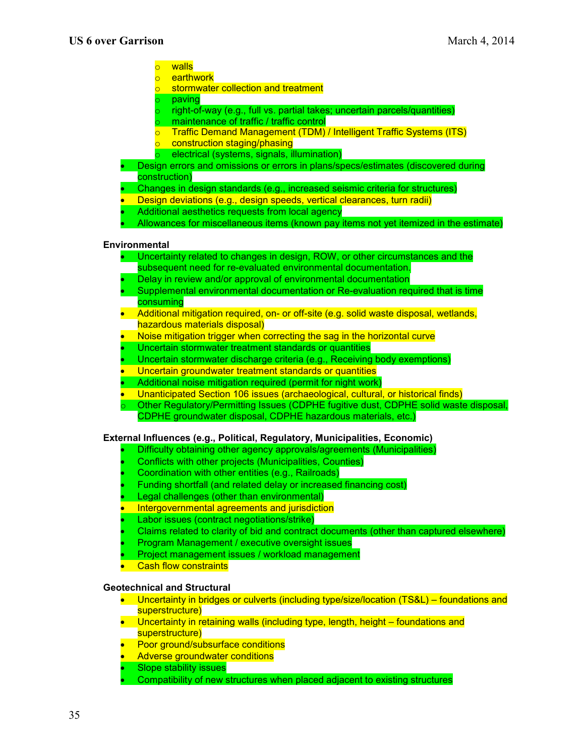- 
- <mark>o walls</mark><br>o earth earthwork
- stormwater collection and treatment
- paving
- right-of-way (e.g., full vs. partial takes; uncertain parcels/quantities)
- o maintenance of traffic / traffic control<br>o Traffic Demand Management (TDM)
- **Traffic Demand Management (TDM) / Intelligent Traffic Systems (ITS)**
- o construction staging/phasing
- o electrical (systems, signals, illumination)
- Design errors and omissions or errors in plans/specs/estimates (discovered during construction)
- Changes in design standards (e.g., increased seismic criteria for structures)
- Design deviations (e.g., design speeds, vertical clearances, turn radii)
- Additional aesthetics requests from local agency
- Allowances for miscellaneous items (known pay items not yet itemized in the estimate)

#### **Environmental**

- Uncertainty related to changes in design, ROW, or other circumstances and the subsequent need for re-evaluated environmental documentation.
- Delay in review and/or approval of environmental documentation
- Supplemental environmental documentation or Re-evaluation required that is time
- consuming
- Additional mitigation required, on- or off-site (e.g. solid waste disposal, wetlands, hazardous materials disposal)
- Noise mitigation trigger when correcting the sag in the horizontal curve
- Uncertain stormwater treatment standards or quantities
- Uncertain stormwater discharge criteria (e.g., Receiving body exemptions)
- Uncertain groundwater treatment standards or quantities
- Additional noise mitigation required (permit for night work)
- Unanticipated Section 106 issues (archaeological, cultural, or historical finds)
- Other Regulatory/Permitting Issues (CDPHE fugitive dust, CDPHE solid waste disposal, CDPHE groundwater disposal, CDPHE hazardous materials, etc.)

#### **External Influences (e.g., Political, Regulatory, Municipalities, Economic)**

- Difficulty obtaining other agency approvals/agreements (Municipalities)
- Conflicts with other projects (Municipalities, Counties)
- Coordination with other entities (e.g., Railroads)
- Funding shortfall (and related delay or increased financing cost)
- Legal challenges (other than environmental)
- Intergovernmental agreements and jurisdiction
- Labor issues (contract negotiations/strike)
- Claims related to clarity of bid and contract documents (other than captured elsewhere)
- Program Management / executive oversight issues
- Project management issues / workload management
- **Cash flow constraints**

#### **Geotechnical and Structural**

- Uncertainty in bridges or culverts (including type/size/location (TS&L) foundations and superstructure)
- Uncertainty in retaining walls (including type, length, height foundations and superstructure)
- Poor ground/subsurface conditions
- **Adverse groundwater conditions**
- Slope stability issues
- Compatibility of new structures when placed adjacent to existing structures